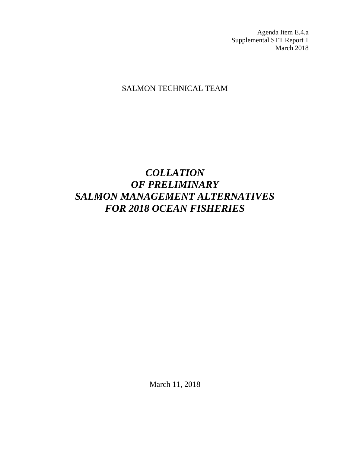Agenda Item E.4.a Supplemental STT Report 1 March 2018

# SALMON TECHNICAL TEAM

# *COLLATION OF PRELIMINARY SALMON MANAGEMENT ALTERNATIVES FOR 2018 OCEAN FISHERIES*

March 11, 2018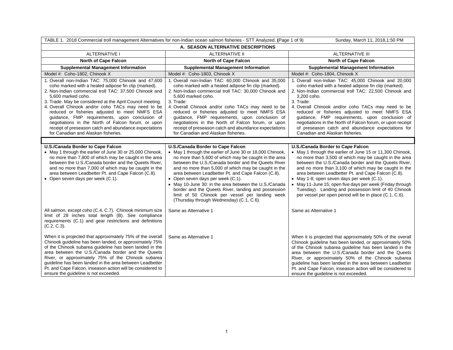| TABLE 1. 2018 Commercial troll management Alternatives for non-Indian ocean salmon fisheries - STT Analyzed. (Page 1 of 9)<br>Sunday, March 11, 2018, 1:50 PM                                                                                                                                                                                                                                                                                                                                                                                                             |                                                                                                                                                                                                                                                                                                                                                                                                                                                                                                                                                                                  |                                                                                                                                                                                                                                                                                                                                                                                                                                                                                                                                                             |  |  |
|---------------------------------------------------------------------------------------------------------------------------------------------------------------------------------------------------------------------------------------------------------------------------------------------------------------------------------------------------------------------------------------------------------------------------------------------------------------------------------------------------------------------------------------------------------------------------|----------------------------------------------------------------------------------------------------------------------------------------------------------------------------------------------------------------------------------------------------------------------------------------------------------------------------------------------------------------------------------------------------------------------------------------------------------------------------------------------------------------------------------------------------------------------------------|-------------------------------------------------------------------------------------------------------------------------------------------------------------------------------------------------------------------------------------------------------------------------------------------------------------------------------------------------------------------------------------------------------------------------------------------------------------------------------------------------------------------------------------------------------------|--|--|
| A. SEASON ALTERNATIVE DESCRIPTIONS                                                                                                                                                                                                                                                                                                                                                                                                                                                                                                                                        |                                                                                                                                                                                                                                                                                                                                                                                                                                                                                                                                                                                  |                                                                                                                                                                                                                                                                                                                                                                                                                                                                                                                                                             |  |  |
| <b>ALTERNATIVE I</b>                                                                                                                                                                                                                                                                                                                                                                                                                                                                                                                                                      | <b>ALTERNATIVE II</b>                                                                                                                                                                                                                                                                                                                                                                                                                                                                                                                                                            | <b>ALTERNATIVE III</b>                                                                                                                                                                                                                                                                                                                                                                                                                                                                                                                                      |  |  |
| <b>North of Cape Falcon</b>                                                                                                                                                                                                                                                                                                                                                                                                                                                                                                                                               | <b>North of Cape Falcon</b>                                                                                                                                                                                                                                                                                                                                                                                                                                                                                                                                                      | <b>North of Cape Falcon</b>                                                                                                                                                                                                                                                                                                                                                                                                                                                                                                                                 |  |  |
| <b>Supplemental Management Information</b>                                                                                                                                                                                                                                                                                                                                                                                                                                                                                                                                | <b>Supplemental Management Information</b>                                                                                                                                                                                                                                                                                                                                                                                                                                                                                                                                       | <b>Supplemental Management Information</b>                                                                                                                                                                                                                                                                                                                                                                                                                                                                                                                  |  |  |
| Model #: Coho-1802, Chinook X                                                                                                                                                                                                                                                                                                                                                                                                                                                                                                                                             | Model #: Coho-1803, Chinook X                                                                                                                                                                                                                                                                                                                                                                                                                                                                                                                                                    | Model #: Coho-1804, Chinook X                                                                                                                                                                                                                                                                                                                                                                                                                                                                                                                               |  |  |
| 1. Overall non-Indian TAC: 75,000 Chinook and 47,600<br>coho marked with a healed adipose fin clip (marked).<br>2. Non-Indian commercial troll TAC: 37,500 Chinook and<br>5.600 marked coho.<br>3. Trade: May be considered at the April Council meeting.<br>4. Overall Chinook and/or coho TACs may need to be<br>reduced or fisheries adjusted to meet NMFS ESA<br>guidance, FMP requirements, upon conclusion of<br>negotiations in the North of Falcon forum, or upon<br>receipt of preseason catch and abundance expectations<br>for Canadian and Alaskan fisheries. | 1. Overall non-Indian TAC: 60,000 Chinook and 35,000<br>coho marked with a healed adipose fin clip (marked).<br>2. Non-Indian commercial troll TAC: 30,000 Chinook and<br>5,600 marked coho.<br>3. Trade:<br>4. Overall Chinook and/or coho TACs may need to be<br>reduced or fisheries adjusted to meet NMFS ESA<br>guidance, FMP requirements, upon conclusion of<br>negotiations in the North of Falcon forum, or upon<br>receipt of preseason catch and abundance expectations<br>for Canadian and Alaskan fisheries.                                                        | 1. Overall non-Indian TAC: 45,000 Chinook and 20,000<br>coho marked with a healed adipose fin clip (marked).<br>2. Non-Indian commercial troll TAC: 22,500 Chinook and<br>3,200 coho.<br>3. Trade:<br>4. Overall Chinook and/or coho TACs may need to be<br>reduced or fisheries adjusted to meet NMFS ESA<br>guidance, FMP requirements, upon conclusion of<br>negotiations in the North of Falcon forum, or upon receipt<br>of preseason catch and abundance expectations for<br>Canadian and Alaskan fisheries.                                          |  |  |
|                                                                                                                                                                                                                                                                                                                                                                                                                                                                                                                                                                           |                                                                                                                                                                                                                                                                                                                                                                                                                                                                                                                                                                                  |                                                                                                                                                                                                                                                                                                                                                                                                                                                                                                                                                             |  |  |
| U.S./Canada Border to Cape Falcon<br>• May 1 through the earlier of June 30 or 25,000 Chinook,<br>no more than 7,800 of which may be caught in the area<br>between the U.S./Canada border and the Queets River,<br>and no more than 7,000 of which may be caught in the<br>area between Leadbetter Pt. and Cape Falcon (C.8).<br>• Open seven days per week (C.1).                                                                                                                                                                                                        | U.S./Canada Border to Cape Falcon<br>• May 1 through the earlier of June 30 or 18,000 Chinook,<br>no more than 5,600 of which may be caught in the area<br>between the U.S./Canada border and the Queets River<br>and no more than 5,000 of which may be caught in the<br>area between Leadbetter Pt. and Cape Falcon (C.8).<br>• Open seven days per week (C.1).<br>• May 10-June 30: in the area between the U.S./Canada<br>border and the Queets River, landing and possession<br>limit of 50 Chinook per vessel per landing week<br>(Thursday through Wednesday) (C.1, C.6). | U.S./Canada Border to Cape Falcon<br>• May 1 through the earlier of June 15 or 11,300 Chinook,<br>no more than 3,500 of which may be caught in the area<br>between the U.S./Canada border and the Queets River,<br>and no more than 3,100 of which may be caught in the<br>area between Leadbetter Pt. and Cape Falcon (C.8).<br>• May 1-8; open seven days per week (C.1).<br>• May 11-June 15; open five days per week (Friday through<br>Tuesday). Landing and possession limit of 40 Chinook<br>per vessel per open period will be in place (C.1, C.6). |  |  |
| All salmon, except coho (C.4, C.7). Chinook minimum size<br>limit of 28 inches total length (B). See compliance<br>requirements (C.1) and gear restrictions and definitions<br>$(C.2, C.3)$ .                                                                                                                                                                                                                                                                                                                                                                             | Same as Alternative 1                                                                                                                                                                                                                                                                                                                                                                                                                                                                                                                                                            | Same as Alternative 1                                                                                                                                                                                                                                                                                                                                                                                                                                                                                                                                       |  |  |
| When it is projected that approximately 75% of the overall<br>Chinook guideline has been landed, or approximately 75%<br>of the Chinook subarea guideline has been landed in the<br>area between the U.S./Canada border and the Queets<br>River, or approximately 75% of the Chinook subarea<br>quideline has been landed in the area between Leadbetter<br>Pt. and Cape Falcon, inseason action will be considered to<br>ensure the guideline is not exceeded.                                                                                                           | Same as Alternative 1                                                                                                                                                                                                                                                                                                                                                                                                                                                                                                                                                            | When it is projected that approximately 50% of the overall<br>Chinook guideline has been landed, or approximately 50%<br>of the Chinook subarea guideline has been landed in the<br>area between the U.S./Canada border and the Queets<br>River, or approximately 50% of the Chinook subarea<br>guideline has been landed in the area between Leadbetter<br>Pt. and Cape Falcon, inseason action will be considered to<br>ensure the guideline is not exceeded.                                                                                             |  |  |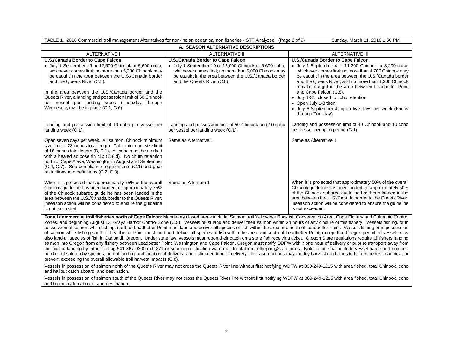| TABLE 1. 2018 Commercial troll management Alternatives for non-Indian ocean salmon fisheries - STT Analyzed. (Page 2 of 9)<br>Sunday, March 11, 2018, 1:50 PM                                                                                                                                                                                                                                                                                               |                                                                                                                                                                                                                                             |                                                                                                                                                                                                                                                                                                                                                                                                                                                                                                      |  |  |  |
|-------------------------------------------------------------------------------------------------------------------------------------------------------------------------------------------------------------------------------------------------------------------------------------------------------------------------------------------------------------------------------------------------------------------------------------------------------------|---------------------------------------------------------------------------------------------------------------------------------------------------------------------------------------------------------------------------------------------|------------------------------------------------------------------------------------------------------------------------------------------------------------------------------------------------------------------------------------------------------------------------------------------------------------------------------------------------------------------------------------------------------------------------------------------------------------------------------------------------------|--|--|--|
|                                                                                                                                                                                                                                                                                                                                                                                                                                                             | A. SEASON ALTERNATIVE DESCRIPTIONS                                                                                                                                                                                                          |                                                                                                                                                                                                                                                                                                                                                                                                                                                                                                      |  |  |  |
| <b>ALTERNATIVE I</b>                                                                                                                                                                                                                                                                                                                                                                                                                                        | <b>ALTERNATIVE II</b>                                                                                                                                                                                                                       | <b>ALTERNATIVE III</b>                                                                                                                                                                                                                                                                                                                                                                                                                                                                               |  |  |  |
| U.S./Canada Border to Cape Falcon<br>• July 1-September 19 or 12,500 Chinook or 5,600 coho,<br>whichever comes first; no more than 5,200 Chinook may<br>be caught in the area between the U.S./Canada border<br>and the Queets River (C.8).<br>In the area between the U.S./Canada border and the<br>Queets River, a landing and possession limit of 60 Chinook<br>per vessel per landing week (Thursday through<br>Wednesday) will be in place (C.1, C.6). | U.S./Canada Border to Cape Falcon<br>• July 1-September 19 or 12,000 Chinook or 5,600 coho,<br>whichever comes first; no more than 5,000 Chinook may<br>be caught in the area between the U.S./Canada border<br>and the Queets River (C.8). | U.S./Canada Border to Cape Falcon<br>• July 1-September 4 or 11,200 Chinook or 3,200 coho,<br>whichever comes first; no more than 4,700 Chinook may<br>be caught in the area between the U.S./Canada border<br>and the Queets River, and no more than 1,300 Chinook<br>may be caught in the area between Leadbetter Point<br>and Cape Falcon (C.8).<br>• July 1-31; closed to coho retention.<br>• Open July 1-3 then;<br>· July 6-September 4; open five days per week (Friday<br>through Tuesday). |  |  |  |
| Landing and possession limit of 10 coho per vessel per<br>landing week (C.1).                                                                                                                                                                                                                                                                                                                                                                               | Landing and possession limit of 50 Chinook and 10 coho<br>per vessel per landing week (C.1).                                                                                                                                                | Landing and possession limit of 40 Chinook and 10 coho<br>per vessel per open period (C.1).                                                                                                                                                                                                                                                                                                                                                                                                          |  |  |  |
| Open seven days per week. All salmon. Chinook minimum<br>size limit of 28 inches total length. Coho minimum size limit<br>of 16 inches total length (B, C.1). All coho must be marked<br>with a healed adipose fin clip (C.8.d). No chum retention<br>north of Cape Alava, Washington in August and September<br>(C.4, C.7). See compliance requirements (C.1) and gear<br>restrictions and definitions (C.2, C.3).                                         | Same as Alternative 1                                                                                                                                                                                                                       | Same as Alternative 1                                                                                                                                                                                                                                                                                                                                                                                                                                                                                |  |  |  |
| When it is projected that approximately 75% of the overall<br>Chinook guideline has been landed, or approximately 75%<br>of the Chinook subarea quideline has been landed in the<br>area between the U.S./Canada border to the Queets River.<br>inseason action will be considered to ensure the guideline<br>is not exceeded.                                                                                                                              | Same as Alternate 1                                                                                                                                                                                                                         | When it is projected that approximately 50% of the overall<br>Chinook guideline has been landed, or approximately 50%<br>of the Chinook subarea guideline has been landed in the<br>area between the U.S./Canada border to the Queets River,<br>inseason action will be considered to ensure the guideline<br>is not exceeded.                                                                                                                                                                       |  |  |  |

**For all commercial troll fisheries north of Cape Falcon**: Mandatory closed areas include: Salmon troll Yelloweye Rockfish Conservation Area, Cape Flattery and Columbia Control Zones, and beginning August 13, Grays Harbor Control Zone (C.5). Vessels must land and deliver their salmon within 24 hours of any closure of this fishery. Vessels fishing, or in possession of salmon while fishing, north of Leadbetter Point must land and deliver all species of fish within the area and north of Leadbetter Point. Vessels fishing or in possession of salmon while fishing south of Leadbetter Point must land and deliver all species of fish within the area and south of Leadbetter Point, except that Oregon permitted vessels may also land all species of fish in Garibaldi, Oregon. Under state law, vessels must report their catch on a state fish receiving ticket. Oregon State regulations require all fishers landing salmon into Oregon from any fishery between Leadbetter Point, Washington and Cape Falcon, Oregon must notify ODFW within one hour of delivery or prior to transport away from the port of landing by either calling 541-867-0300 ext. 271 or sending notification via e-mail to nfalcon.trollreport@state.or.us. Notification shall include vessel name and number, number of salmon by species, port of landing and location of delivery, and estimated time of delivery. Inseason actions may modify harvest guidelines in later fisheries to achieve or prevent exceeding the overall allowable troll harvest impacts (C.8).

Vessels in possession of salmon north of the Queets River may not cross the Queets River line without first notifying WDFW at 360-249-1215 with area fished, total Chinook, coho and halibut catch aboard, and destination.

Vessels in possession of salmon south of the Queets River may not cross the Queets River line without first notifying WDFW at 360-249-1215 with area fished, total Chinook, coho and halibut catch aboard, and destination.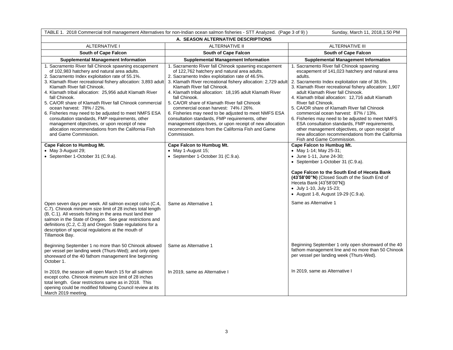| TABLE 1. 2018 Commercial troll management Alternatives for non-Indian ocean salmon fisheries - STT Analyzed. (Page 3 of 9))<br>Sunday, March 11, 2018, 1:50 PM                                                                                                                                                                                                                                                                                                                                                                                                                                                                                                           |                                                                                                                                                                                                                                                                                                                                                                                                                                                                                                                                                                                                                                                                          |                                                                                                                                                                                                                                                                                                                                                                                                                                                                                                                                                                                                                                                |  |  |
|--------------------------------------------------------------------------------------------------------------------------------------------------------------------------------------------------------------------------------------------------------------------------------------------------------------------------------------------------------------------------------------------------------------------------------------------------------------------------------------------------------------------------------------------------------------------------------------------------------------------------------------------------------------------------|--------------------------------------------------------------------------------------------------------------------------------------------------------------------------------------------------------------------------------------------------------------------------------------------------------------------------------------------------------------------------------------------------------------------------------------------------------------------------------------------------------------------------------------------------------------------------------------------------------------------------------------------------------------------------|------------------------------------------------------------------------------------------------------------------------------------------------------------------------------------------------------------------------------------------------------------------------------------------------------------------------------------------------------------------------------------------------------------------------------------------------------------------------------------------------------------------------------------------------------------------------------------------------------------------------------------------------|--|--|
| A. SEASON ALTERNATIVE DESCRIPTIONS                                                                                                                                                                                                                                                                                                                                                                                                                                                                                                                                                                                                                                       |                                                                                                                                                                                                                                                                                                                                                                                                                                                                                                                                                                                                                                                                          |                                                                                                                                                                                                                                                                                                                                                                                                                                                                                                                                                                                                                                                |  |  |
| <b>ALTERNATIVE I</b>                                                                                                                                                                                                                                                                                                                                                                                                                                                                                                                                                                                                                                                     | <b>ALTERNATIVE II</b>                                                                                                                                                                                                                                                                                                                                                                                                                                                                                                                                                                                                                                                    | <b>ALTERNATIVE III</b>                                                                                                                                                                                                                                                                                                                                                                                                                                                                                                                                                                                                                         |  |  |
| South of Cape Falcon                                                                                                                                                                                                                                                                                                                                                                                                                                                                                                                                                                                                                                                     | South of Cape Falcon                                                                                                                                                                                                                                                                                                                                                                                                                                                                                                                                                                                                                                                     | <b>South of Cape Falcon</b>                                                                                                                                                                                                                                                                                                                                                                                                                                                                                                                                                                                                                    |  |  |
| <b>Supplemental Management Information</b>                                                                                                                                                                                                                                                                                                                                                                                                                                                                                                                                                                                                                               | <b>Supplemental Management Information</b>                                                                                                                                                                                                                                                                                                                                                                                                                                                                                                                                                                                                                               | <b>Supplemental Management Information</b>                                                                                                                                                                                                                                                                                                                                                                                                                                                                                                                                                                                                     |  |  |
| 1. Sacramento River fall Chinook spawning escapement<br>of 102,983 hatchery and natural area adults.<br>2. Sacramento Index exploitation rate of 55.1%.<br>3. Klamath River recreational fishery allocation: 3,893 adult<br>Klamath River fall Chinook.<br>4. Klamath tribal allocation: 25,956 adult Klamath River<br>fall Chinook.<br>5. CA/OR share of Klamath River fall Chinook commercial<br>ocean harvest: 78% / 22%.<br>6. Fisheries may need to be adjusted to meet NMFS ESA<br>consultation standards, FMP requirements, other<br>management objectives, or upon receipt of new<br>allocation recommendations from the California Fish<br>and Game Commission. | 1. Sacramento River fall Chinook spawning escapement<br>of 122,762 hatchery and natural area adults.<br>2. Sacramento Index exploitation rate of 46.5%.<br>3. Klamath River recreational fishery allocation: 2,729 adult<br>Klamath River fall Chinook.<br>4. Klamath tribal allocation: 18,195 adult Klamath River<br>fall Chinook.<br>5. CA/OR share of Klamath River fall Chinook<br>commercial ocean harvest: 74% / 26%.<br>6. Fisheries may need to be adjusted to meet NMFS ESA<br>consultation standards, FMP requirements, other<br>management objectives, or upon receipt of new allocation<br>recommendations from the California Fish and Game<br>Commission. | 1. Sacramento River fall Chinook spawning<br>escapement of 141,023 hatchery and natural area<br>adults.<br>2. Sacramento Index exploitation rate of 38.5%.<br>3. Klamath River recreational fishery allocation: 1,907<br>adult Klamath River fall Chinook.<br>4. Klamath tribal allocation: 12,716 adult Klamath<br>River fall Chinook.<br>5. CA/OR share of Klamath River fall Chinook<br>commercial ocean harvest: 87% / 13%.<br>6. Fisheries may need to be adjusted to meet NMFS<br>ESA consultation standards, FMP requirements,<br>other management objectives, or upon receipt of<br>new allocation recommendations from the California |  |  |
| Cape Falcon to Humbug Mt.<br>• May 3-August 29;<br>• September 1-October 31 (C.9.a).                                                                                                                                                                                                                                                                                                                                                                                                                                                                                                                                                                                     | Cape Falcon to Humbug Mt.<br>• May 1-August 15;<br>• September 1-October 31 (C.9.a).                                                                                                                                                                                                                                                                                                                                                                                                                                                                                                                                                                                     | Fish and Game Commission.<br>Cape Falcon to Humbug Mt.<br>• May 1-14; May 25-31;<br>• June 1-11, June 24-30;<br>• September 1-October 31 (C.9.a).                                                                                                                                                                                                                                                                                                                                                                                                                                                                                              |  |  |
|                                                                                                                                                                                                                                                                                                                                                                                                                                                                                                                                                                                                                                                                          |                                                                                                                                                                                                                                                                                                                                                                                                                                                                                                                                                                                                                                                                          | Cape Falcon to the South End of Heceta Bank<br>(43°58'00"N) (Closed South of the South End of<br>Heceta Bank [43°58'00"N])<br>• July 1-10, July 15-23;<br>• August 1-8, August 19-29 (C.9.a).                                                                                                                                                                                                                                                                                                                                                                                                                                                  |  |  |
| Open seven days per week. All salmon except coho (C.4,<br>C.7). Chinook minimum size limit of 28 inches total length<br>(B, C.1). All vessels fishing in the area must land their<br>salmon in the State of Oregon. See gear restrictions and<br>definitions (C.2, C.3) and Oregon State regulations for a<br>description of special regulations at the mouth of<br>Tillamook Bay.                                                                                                                                                                                                                                                                                       | Same as Alternative 1                                                                                                                                                                                                                                                                                                                                                                                                                                                                                                                                                                                                                                                    | Same as Alternative 1                                                                                                                                                                                                                                                                                                                                                                                                                                                                                                                                                                                                                          |  |  |
| Beginning September 1 no more than 50 Chinook allowed<br>per vessel per landing week (Thurs-Wed); and only open<br>shoreward of the 40 fathom management line beginning<br>October 1.                                                                                                                                                                                                                                                                                                                                                                                                                                                                                    | Same as Alternative 1                                                                                                                                                                                                                                                                                                                                                                                                                                                                                                                                                                                                                                                    | Beginning September 1 only open shoreward of the 40<br>fathom management line and no more than 50 Chinook<br>per vessel per landing week (Thurs-Wed).                                                                                                                                                                                                                                                                                                                                                                                                                                                                                          |  |  |
| In 2019, the season will open March 15 for all salmon<br>except coho. Chinook minimum size limit of 28 inches<br>total length. Gear restrictions same as in 2018. This<br>opening could be modified following Council review at its<br>March 2019 meeting.                                                                                                                                                                                                                                                                                                                                                                                                               | In 2019, same as Alternative I                                                                                                                                                                                                                                                                                                                                                                                                                                                                                                                                                                                                                                           | In 2019, same as Alternative I                                                                                                                                                                                                                                                                                                                                                                                                                                                                                                                                                                                                                 |  |  |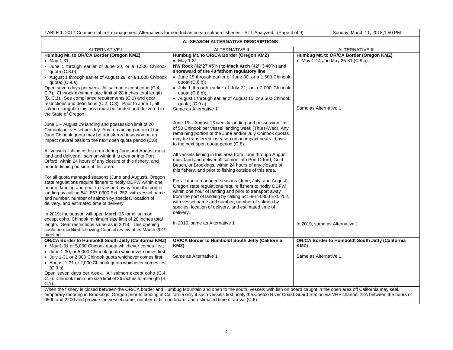| TABLE 1. 2017 Commercial troll management Alternatives for non-Indian ocean salmon fisheries - STT Analyzed. (Page 4 of 9)<br>Sunday, March 11, 2018, 1:50 PM                                                                                                                                                                                                                                                                                                                                                                              |                                                                                                                                                                                                                                                                                                                                                                                                                                                                                                                               |                                                                                                       |  |  |
|--------------------------------------------------------------------------------------------------------------------------------------------------------------------------------------------------------------------------------------------------------------------------------------------------------------------------------------------------------------------------------------------------------------------------------------------------------------------------------------------------------------------------------------------|-------------------------------------------------------------------------------------------------------------------------------------------------------------------------------------------------------------------------------------------------------------------------------------------------------------------------------------------------------------------------------------------------------------------------------------------------------------------------------------------------------------------------------|-------------------------------------------------------------------------------------------------------|--|--|
| A. SEASON ALTERNATIVE DESCRIPTIONS                                                                                                                                                                                                                                                                                                                                                                                                                                                                                                         |                                                                                                                                                                                                                                                                                                                                                                                                                                                                                                                               |                                                                                                       |  |  |
| <b>ALTERNATIVE I</b>                                                                                                                                                                                                                                                                                                                                                                                                                                                                                                                       | <b>ALTERNATIVE II</b><br><b>ALTERNATIVE III</b>                                                                                                                                                                                                                                                                                                                                                                                                                                                                               |                                                                                                       |  |  |
| Humbug Mt. to OR/CA Border (Oregon KMZ)<br>• May 1-31;<br>• June 1 through earlier of June 30, or a 1,500 Chinook<br>quota $(C.8.b)$ ;<br>• August 1 through earlier of August 29, or a 1,000 Chinook<br>quota; $(C.9.a)$ .<br>Open seven days per week. All salmon except coho (C.4,<br>C.7). Chinook minimum size limit of 28 inches total length<br>(B, C.1). See compliance requirements (C.1) and gear<br>restrictions and definitions (C.2, C.3). Prior to June 1, all<br>salmon caught in this area must be landed and delivered in | Humbug Mt. to OR/CA Border (Oregon KMZ)<br>• May 1-31;<br>NW Rock (42°27'45"N) to Mack Arch (42°13'40"N) and<br>shoreward of the 40 fathom regulatory line<br>• June 15 through earlier of June 30, or a 1,500 Chinook<br>quota $(C.8.b)$ ;<br>• July 1 through earlier of July 31, or a 2,000 Chinook<br>quota $(C.8.b)$ ;<br>• August 1 through earlier of August 15, or a 500 Chinook<br>quota; $(C.9.a)$ .<br>Same as Alternative 1                                                                                       | Humbug Mt. to OR/CA Border (Oregon KMZ)<br>• May 1-14 and May 25-31 (C.9.a).<br>Same as Alternative 1 |  |  |
| the State of Oregon.<br>June 1 - August 29 landing and possession limit of 20<br>Chinook per vessel per day. Any remaining portion of the<br>June Chinook quota may be transferred inseason on an<br>impact neutral basis to the next open quota period (C.8).<br>All vessels fishing in this area during June and August must<br>land and deliver all salmon within this area or into Port<br>Orford, within 24 hours of any closure of this fishery, and<br>prior to fishing outside of this area.                                       | June 15 – August 15 weekly landing and possession limit<br>of 50 Chinook per vessel landing week (Thurs-Wed). Any<br>remaining portion of the June and/or July Chinook quotas<br>may be transferred inseason on an impact neutral basis<br>to the next open quota period (C.8).<br>All vessels fishing in this area from June through August<br>must land and deliver all salmon into Port Orford, Gold<br>Beach, or Brookings, within 24 hours of any closure of<br>this fishery, and prior to fishing outside of this area. |                                                                                                       |  |  |
| For all quota managed seasons (June and August), Oregon<br>state regulations require fishers to notify ODFW within one<br>hour of landing and prior to transport away from the port of<br>landing by calling 541-867-0300 Ext. 252, with vessel name<br>and number, number of salmon by species, location of<br>delivery, and estimated time of delivery.<br>In 2019, the season will open March 15 for all salmon<br>except coho. Chinook minimum size limit of 28 inches total                                                           | For all quota managed seasons (June, July, and August),<br>Oregon state regulations require fishers to notify ODFW<br>within one hour of landing and prior to transport away<br>from the port of landing by calling 541-867-0300 Ext. 252,<br>with vessel name and number, number of salmon by<br>species, location of delivery, and estimated time of<br>delivery.                                                                                                                                                           |                                                                                                       |  |  |
| length. Gear restrictions same as in 2018. This opening<br>could be modified following Council review at its March 2019<br>meeting.                                                                                                                                                                                                                                                                                                                                                                                                        | In 2019, same as Alternative 1                                                                                                                                                                                                                                                                                                                                                                                                                                                                                                | In 2019, same as Alternative 1                                                                        |  |  |
| <b>OR/CA Border to Humboldt South Jetty (California KMZ)</b><br>• May 1-31 or 5,000 Chinook quota whichever comes first;<br>• June 1-30, or 5,000 Chinook quota whichever comes first;                                                                                                                                                                                                                                                                                                                                                     | <b>OR/CA Border to Humboldt South Jetty (California</b><br>KMZ)                                                                                                                                                                                                                                                                                                                                                                                                                                                               | <b>OR/CA Border to Humboldt South Jetty (California</b><br>KMZ)                                       |  |  |
| • July 1-31 or 2,000 Chinook quota whichever comes first;<br>• August 1-31 or 2,000 Chinook quota whichever comes first<br>(C.9.b).<br>Open seven days per week. All salmon except coho (C.4,<br>C.7). Chinook minimum size limit of 26 inches total length (B,<br>$C.1$ ).                                                                                                                                                                                                                                                                | Same as Alternative 1                                                                                                                                                                                                                                                                                                                                                                                                                                                                                                         | Same as Alternative 1                                                                                 |  |  |
| When the fishery is closed between the OR/CA border and Humbug Mountain and open to the south, vessels with fish on board caught in the open area off California may seek<br>temporary mooring in Brookings, Oregon prior to landing in California only if such vessels first notify the Chetco River Coast Guard Station via VHF channel 22A between the hours of<br>0500 and 2200 and provide the vessel name, number of fish on board, and estimated time of arrival (C.6).                                                             |                                                                                                                                                                                                                                                                                                                                                                                                                                                                                                                               |                                                                                                       |  |  |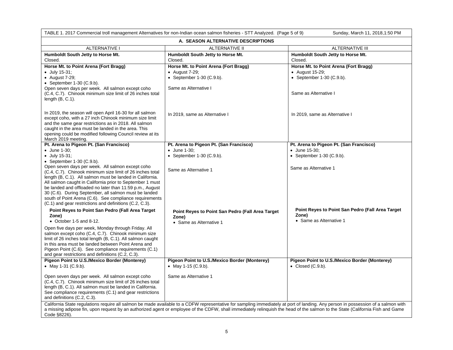| TABLE 1. 2017 Commercial troll management Alternatives for non-Indian ocean salmon fisheries - STT Analyzed. (Page 5 of 9)<br>Sunday, March 11, 2018, 1:50 PM                                                                                                                                                                                                                                                                                                                      |                                                                                                                                                                                                                                                                                                                                                                     |                                                                                                                  |  |  |
|------------------------------------------------------------------------------------------------------------------------------------------------------------------------------------------------------------------------------------------------------------------------------------------------------------------------------------------------------------------------------------------------------------------------------------------------------------------------------------|---------------------------------------------------------------------------------------------------------------------------------------------------------------------------------------------------------------------------------------------------------------------------------------------------------------------------------------------------------------------|------------------------------------------------------------------------------------------------------------------|--|--|
| A. SEASON ALTERNATIVE DESCRIPTIONS                                                                                                                                                                                                                                                                                                                                                                                                                                                 |                                                                                                                                                                                                                                                                                                                                                                     |                                                                                                                  |  |  |
| <b>ALTERNATIVE III</b><br><b>ALTERNATIVE I</b><br>ALTERNATIVE II                                                                                                                                                                                                                                                                                                                                                                                                                   |                                                                                                                                                                                                                                                                                                                                                                     |                                                                                                                  |  |  |
| Humboldt South Jetty to Horse Mt.<br>Closed.                                                                                                                                                                                                                                                                                                                                                                                                                                       | Humboldt South Jetty to Horse Mt.<br>Closed.                                                                                                                                                                                                                                                                                                                        | Humboldt South Jetty to Horse Mt.<br>Closed.                                                                     |  |  |
| Horse Mt. to Point Arena (Fort Bragg)<br>$\bullet$ July 15-31;<br>$\bullet$ August 7-29;<br>• September $1-30$ (C.9.b).<br>Open seven days per week. All salmon except coho<br>(C.4, C.7). Chinook minimum size limit of 26 inches total<br>length $(B, C.1)$ .                                                                                                                                                                                                                    | Horse Mt. to Point Arena (Fort Bragg)<br>$\bullet$ August 7-29;<br>• September $1-30$ (C.9.b).<br>Same as Alternative I                                                                                                                                                                                                                                             | Horse Mt. to Point Arena (Fort Bragg)<br>• August 15-29;<br>• September $1-30$ (C.9.b).<br>Same as Alternative I |  |  |
| In 2019, the season will open April 16-30 for all salmon<br>except coho, with a 27 inch Chinook minimum size limit<br>and the same gear restrictions as in 2018. All salmon<br>caught in the area must be landed in the area. This<br>opening could be modified following Council review at its<br>March 2019 meeting.                                                                                                                                                             | In 2019, same as Alternative I                                                                                                                                                                                                                                                                                                                                      | In 2019, same as Alternative I                                                                                   |  |  |
| Pt. Arena to Pigeon Pt. (San Francisco)                                                                                                                                                                                                                                                                                                                                                                                                                                            | Pt. Arena to Pigeon Pt. (San Francisco)                                                                                                                                                                                                                                                                                                                             | Pt. Arena to Pigeon Pt. (San Francisco)                                                                          |  |  |
| • June 1-30;<br>• July 15-31;                                                                                                                                                                                                                                                                                                                                                                                                                                                      | $\bullet$ June 1-30:<br>• September $1-30$ (C.9.b).                                                                                                                                                                                                                                                                                                                 | • June 15-30:<br>• September $1-30$ (C.9.b).                                                                     |  |  |
| • September $1-30$ (C.9.b).                                                                                                                                                                                                                                                                                                                                                                                                                                                        |                                                                                                                                                                                                                                                                                                                                                                     |                                                                                                                  |  |  |
| Open seven days per week. All salmon except coho<br>(C.4, C.7). Chinook minimum size limit of 26 inches total<br>length (B, C.1). All salmon must be landed in California.<br>All salmon caught in California prior to September 1 must<br>be landed and offloaded no later than 11:59 p.m., August<br>30 (C.6). During September, all salmon must be landed<br>south of Point Arena (C.6). See compliance requirements<br>(C.1) and gear restrictions and definitions (C.2, C.3). | Same as Alternative 1                                                                                                                                                                                                                                                                                                                                               | Same as Alternative 1                                                                                            |  |  |
| Point Reyes to Point San Pedro (Fall Area Target<br>Zone)<br>$\bullet$ October 1-5 and 8-12.                                                                                                                                                                                                                                                                                                                                                                                       | Point Reyes to Point San Pedro (Fall Area Target<br>Zone)<br>• Same as Alternative 1                                                                                                                                                                                                                                                                                | Point Reyes to Point San Pedro (Fall Area Target<br>Zone)<br>• Same as Alternative 1                             |  |  |
| Open five days per week, Monday through Friday. All<br>salmon except coho (C.4, C.7). Chinook minimum size<br>limit of 26 inches total length (B, C.1). All salmon caught<br>in this area must be landed between Point Arena and<br>Pigeon Point (C.6). See compliance requirements (C.1)<br>and gear restrictions and definitions (C.2, C.3).                                                                                                                                     |                                                                                                                                                                                                                                                                                                                                                                     |                                                                                                                  |  |  |
| Pigeon Point to U.S./Mexico Border (Monterey)                                                                                                                                                                                                                                                                                                                                                                                                                                      | Pigeon Point to U.S./Mexico Border (Monterey)                                                                                                                                                                                                                                                                                                                       | Pigeon Point to U.S./Mexico Border (Monterey)                                                                    |  |  |
| • May 1-31 $(C.9.b)$ .                                                                                                                                                                                                                                                                                                                                                                                                                                                             | • May 1-15 $(C.9.b)$ .                                                                                                                                                                                                                                                                                                                                              | • Closed $(C.9.b)$ .                                                                                             |  |  |
| Open seven days per week. All salmon except coho<br>(C.4, C.7). Chinook minimum size limit of 26 inches total<br>length (B, C.1). All salmon must be landed in California.<br>See compliance requirements (C.1) and gear restrictions<br>and definitions (C.2, C.3).                                                                                                                                                                                                               | Same as Alternative 1                                                                                                                                                                                                                                                                                                                                               |                                                                                                                  |  |  |
| Code §8226).                                                                                                                                                                                                                                                                                                                                                                                                                                                                       | California State regulations require all salmon be made available to a CDFW representative for sampling immediately at port of landing. Any person in possession of a salmon with<br>a missing adipose fin, upon request by an authorized agent or employee of the CDFW, shall immediately relinquish the head of the salmon to the State (California Fish and Game |                                                                                                                  |  |  |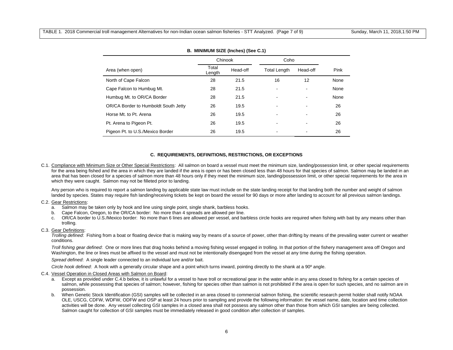|                                      | Chinook         |          | Coho                     |          |      |
|--------------------------------------|-----------------|----------|--------------------------|----------|------|
| Area (when open)                     | Total<br>Length | Head-off | <b>Total Length</b>      | Head-off | Pink |
| North of Cape Falcon                 | 28              | 21.5     | 16                       | 12       | None |
| Cape Falcon to Humbug Mt.            | 28              | 21.5     |                          |          | None |
| Humbug Mt. to OR/CA Border           | 28              | 21.5     |                          |          | None |
| OR/CA Border to Humboldt South Jetty | 26              | 19.5     |                          |          | 26   |
| Horse Mt. to Pt. Arena               | 26              | 19.5     |                          |          | 26   |
| Pt. Arena to Pigeon Pt.              | 26              | 19.5     | $\overline{\phantom{a}}$ |          | 26   |
| Pigeon Pt. to U.S./Mexico Border     | 26              | 19.5     |                          |          | 26   |

## **B. MINIMUM SIZE (Inches) (See C.1)**

#### **C. REQUIREMENTS, DEFINITIONS, RESTRICTIONS, OR EXCEPTIONS**

C.1. Compliance with Minimum Size or Other Special Restrictions: All salmon on board a vessel must meet the minimum size, landing/possession limit, or other special requirements for the area being fished and the area in which they are landed if the area is open or has been closed less than 48 hours for that species of salmon. Salmon may be landed in an area that has been closed for a species of salmon more than 48 hours only if they meet the minimum size, landing/possession limit, or other special requirements for the area in which they were caught. Salmon may not be filleted prior to landing.

Any person who is required to report a salmon landing by applicable state law must include on the state landing receipt for that landing both the number and weight of salmon landed by species. States may require fish landing/receiving tickets be kept on board the vessel for 90 days or more after landing to account for all previous salmon landings.

#### C.2. Gear Restrictions:

- a. Salmon may be taken only by hook and line using single point, single shank, barbless hooks.
- b. Cape Falcon, Oregon, to the OR/CA border: No more than 4 spreads are allowed per line.
- c. OR/CA border to U.S./Mexico border: No more than 6 lines are allowed per vessel, and barbless circle hooks are required when fishing with bait by any means other than trolling.

# C.3. Gear Definitions:

*Trolling defined*: Fishing from a boat or floating device that is making way by means of a source of power, other than drifting by means of the prevailing water current or weather conditions.

*Troll fishing gear defined*: One or more lines that drag hooks behind a moving fishing vessel engaged in trolling. In that portion of the fishery management area off Oregon and Washington, the line or lines must be affixed to the vessel and must not be intentionally disengaged from the vessel at any time during the fishing operation.

*Spread defined*: A single leader connected to an individual lure and/or bait.

*Circle hook defined*: A hook with a generally circular shape and a point which turns inward, pointing directly to the shank at a 90º angle.

#### C.4. Vessel Operation in Closed Areas with Salmon on Board:

- a. Except as provided under C.4.b below, it is unlawful for a vessel to have troll or recreational gear in the water while in any area closed to fishing for a certain species of salmon, while possessing that species of salmon; however, fishing for species other than salmon is not prohibited if the area is open for such species, and no salmon are in possession.
- b. When Genetic Stock Identification (GSI) samples will be collected in an area closed to commercial salmon fishing, the scientific research permit holder shall notify NOAA OLE, USCG, CDFW, WDFW, ODFW and OSP at least 24 hours prior to sampling and provide the following information: the vessel name, date, location and time collection activities will be done. Any vessel collecting GSI samples in a closed area shall not possess any salmon other than those from which GSI samples are being collected. Salmon caught for collection of GSI samples must be immediately released in good condition after collection of samples.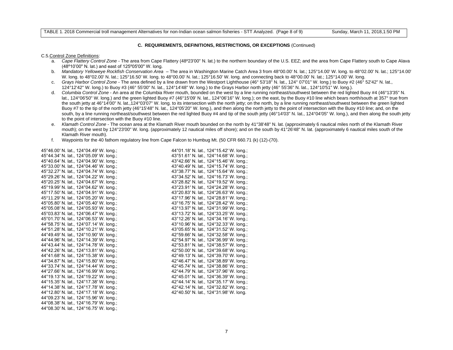#### **C. REQUIREMENTS, DEFINITIONS, RESTRICTIONS, OR EXCEPTIONS** (Continued)

#### C.5.Control Zone Definitions:

- a. *Cape Flattery Control Zone*  The area from Cape Flattery (48º23'00" N. lat.) to the northern boundary of the U.S. EEZ; and the area from Cape Flattery south to Cape Alava (48º10'00" N. lat.) and east of 125º05'00" W. long.
- b. *Mandatory Yelloweye Rockfish Conservation Area* The area in Washington Marine Catch Area 3 from 48°00.00' N. lat.; 125°14.00' W. long. to 48°02.00' N. lat.; 125°14.00' W. long. to 48°02.00' N. lat.; 125°16.50' W. long. to 48°00.00' N. lat.; 125°16.50' W. long. and connecting back to 48°00.00' N. lat.; 125°14.00' W. long.
- c. *Grays Harbor Control Zone* The area defined by a line drawn from the Westport Lighthouse (46° 53'18" N. lat., 124° 07'01" W. long.) to Buoy #2 (46° 52'42" N. lat., 124°12'42" W. long.) to Buoy #3 (46° 55'00" N. lat., 124°14'48" W. long.) to the Grays Harbor north jetty (46° 55'36" N. lat., 124°10'51" W. long.).
- d. *Columbia Control Zone* An area at the Columbia River mouth, bounded on the west by a line running northeast/southwest between the red lighted Buoy #4 (46°13'35" N. lat., 124°06'50" W. long.) and the green lighted Buoy #7 (46°15'09' N. lat., 124°06'16" W. long.); on the east, by the Buoy #10 line which bears north/south at 357° true from the south jetty at 46°14'00" N. lat.,124°03'07" W. long. to its intersection with the north jetty; on the north, by a line running northeast/southwest between the green lighted Buoy #7 to the tip of the north jetty (46°15'48" N. lat., 124°05'20" W. long.), and then along the north jetty to the point of intersection with the Buoy #10 line; and, on the south, by a line running northeast/southwest between the red lighted Buoy #4 and tip of the south jetty (46°14'03" N. lat., 124°04'05" W. long.), and then along the south jetty to the point of intersection with the Buoy #10 line.
- e. *Klamath Control Zone* The ocean area at the Klamath River mouth bounded on the north by 41°38'48" N. lat. (approximately 6 nautical miles north of the Klamath River mouth); on the west by 124°23'00" W. long. (approximately 12 nautical miles off shore); and on the south by 41°26'48" N. lat. (approximately 6 nautical miles south of the Klamath River mouth).
- f. Waypoints for the 40 fathom regulatory line from Cape Falcon to Humbug Mt. (50 CFR 660.71 (k) (12)-(70).

| 45°46.00' N. lat., 124°04.49' W. long.; | 44°01.18' N. lat., 124°15.42' W. long.; |
|-----------------------------------------|-----------------------------------------|
| 45°44.34' N. lat., 124°05.09' W. long.; | 43°51.61' N. lat., 124°14.68' W. long.; |
| 45°40.64' N. lat., 124°04.90' W. long.; | 43°42.66' N. lat., 124°15.46' W. long.; |
| 45°33.00' N. lat., 124°04.46' W. long.: | 43°40.49' N. lat., 124°15.74' W. long.: |
| 45°32.27' N. lat., 124°04.74' W. long.; | 43°38.77' N. lat., 124°15.64' W. long.; |
| 45°29.26' N. lat., 124°04.22' W. long.; | 43°34.52' N. lat., 124°16.73' W. long.; |
| 45°20.25' N. lat., 124°04.67' W. long.; | 43°28.82' N. lat., 124°19.52' W. long.; |
| 45°19.99' N. lat., 124°04.62' W. long.; | 43°23.91' N. lat., 124°24.28' W. long.; |
| 45°17.50' N. lat., 124°04.91' W. long.; | 43°20.83' N. lat., 124°26.63' W. long.; |
| 45°11.29' N. lat., 124°05.20' W. long.; | 43°17.96' N. lat., 124°28.81' W. long.; |
| 45°05.80' N. lat., 124°05.40' W. long.; | 43°16.75' N. lat., 124°28.42' W. long.; |
| 45°05.08' N. lat., 124°05.93' W. long.; | 43°13.97' N. lat., 124°31.99' W. long.; |
| 45°03.83' N. lat., 124°06.47' W. long.; | 43°13.72' N. lat., 124°33.25' W. long.; |
| 45°01.70' N. lat., 124°06.53' W. long.; | 43°12.26' N. lat., 124°34.16' W. long.; |
| 44°58.75' N. lat., 124°07.14' W. long.; | 43°10.96' N. lat., 124°32.33' W. long.; |
| 44°51.28' N. lat., 124°10.21' W. long.; | 43°05.65' N. lat., 124°31.52' W. long.; |
| 44°49.49' N. lat., 124°10.90' W. long.; | 42°59.66' N. lat., 124°32.58' W. long.; |
| 44°44.96' N. lat., 124°14.39' W. long.; | 42°54.97' N. lat., 124°36.99' W. long.; |
| 44°43.44' N. lat., 124°14.78' W. long.: | 42°53.81' N. lat., 124°38.57' W. long.: |
| 44°42.26' N. lat., 124°13.81' W. long.; | 42°50.00' N. lat., 124°39.68' W. long.; |
| 44°41.68' N. lat., 124°15.38' W. long.; | 42°49.13' N. lat., 124°39.70' W. long.; |
| 44°34.87' N. lat., 124°15.80' W. long.; | 42°46.47' N. lat., 124°38.89' W. long.; |
| 44°33.74' N. lat., 124°14.44' W. long.; | 42°45.74' N. lat., 124°38.86' W. long.; |
| 44°27.66' N. lat., 124°16.99' W. long.; | 42°44.79' N. lat., 124°37.96' W. long.; |
| 44°19.13' N. lat., 124°19.22' W. long.; | 42°45.01' N. lat., 124°36.39' W. long.; |
| 44°15.35' N. lat., 124°17.38' W. long.; | 42°44.14' N. lat., 124°35.17' W. long.; |
| 44°14.38' N. lat., 124°17.78' W. long.; | 42°42.14' N. lat., 124°32.82' W. long.; |
| 44°12.80' N. lat., 124°17.18' W. long.; | 42°40.50' N. lat., 124°31.98' W. long.  |
| 44°09.23' N. lat., 124°15.96' W. long.; |                                         |
| 44°08.38' N. lat., 124°16.79' W. long.; |                                         |
| 44°08.30' N. lat., 124°16.75' W. long.; |                                         |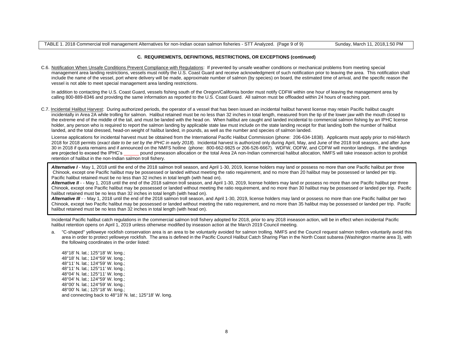#### **C. REQUIREMENTS, DEFINITIONS, RESTRICTIONS, OR EXCEPTIONS (continued)**

C.6. Notification When Unsafe Conditions Prevent Compliance with Regulations: If prevented by unsafe weather conditions or mechanical problems from meeting special management area landing restrictions, vessels must notify the U.S. Coast Guard and receive acknowledgment of such notification prior to leaving the area. This notification shall include the name of the vessel, port where delivery will be made, approximate number of salmon (by species) on board, the estimated time of arrival, and the specific reason the vessel is not able to meet special management area landing restrictions.

In addition to contacting the U.S. Coast Guard, vessels fishing south of the Oregon/California border must notify CDFW within one hour of leaving the management area by calling 800-889-8346 and providing the same information as reported to the U.S. Coast Guard. All salmon must be offloaded within 24 hours of reaching port.

C.7. Incidental Halibut Harvest: During authorized periods, the operator of a vessel that has been issued an incidental halibut harvest license may retain Pacific halibut caught incidentally in Area 2A while trolling for salmon. Halibut retained must be no less than 32 inches in total length, measured from the tip of the lower jaw with the mouth closed to the extreme end of the middle of the tail, and must be landed with the head on. When halibut are caught and landed incidental to commercial salmon fishing by an IPHC license holder, any person who is required to report the salmon landing by applicable state law must include on the state landing receipt for that landing both the number of halibut landed, and the total dressed, head-on weight of halibut landed, in pounds, as well as the number and species of salmon landed.

 License applications for incidental harvest must be obtained from the International Pacific Halibut Commission (phone: 206-634-1838). Applicants must apply prior to mid-March 2018 for 2018 permits (*exact date to be set by the IPHC in early 2018*). Incidental harvest is authorized only during April, May, and June of the 2018 troll seasons, and after June 30 in 2018 if quota remains and if announced on the NMFS hotline (phone: 800-662-9825 or 206-526-6667). WDFW, ODFW, and CDFW will monitor landings. If the landings are projected to exceed the IPHC's \_\_\_\_\_\_ pound preseason allocation or the total Area 2A non-Indian commercial halibut allocation, NMFS will take inseason action to prohibit retention of halibut in the non-Indian salmon troll fishery.

Alternative I - May 1, 2018 until the end of the 2018 salmon troll season, and April 1-30, 2019, license holders may land or possess no more than one Pacific halibut per three Chinook, except one Pacific halibut may be possessed or landed without meeting the ratio requirement, and no more than 20 halibut may be possessed or landed per trip. Pacific halibut retained must be no less than 32 inches in total length (with head on).

Alternative II - - May 1, 2018 until the end of the 2018 salmon troll season, and April 1-30, 2019, license holders may land or possess no more than one Pacific halibut per three Chinook, except one Pacific halibut may be possessed or landed without meeting the ratio requirement, and no more than 30 halibut may be possessed or landed per trip. Pacific halibut retained must be no less than 32 inches in total length (with head on).

Alternative III - - May 1, 2018 until the end of the 2018 salmon troll season, and April 1-30, 2019, license holders may land or possess no more than one Pacific halibut per two Chinook, except two Pacific halibut may be possessed or landed without meeting the ratio requirement, and no more than 35 halibut may be possessed or landed per trip. Pacific halibut retained must be no less than 32 inches in total length (with head on).

Incidental Pacific halibut catch regulations in the commercial salmon troll fishery adopted for 2018, prior to any 2018 inseason action, will be in effect when incidental Pacific halibut retention opens on April 1, 2019 unless otherwise modified by inseason action at the March 2019 Council meeting.

a. "C-shaped" yelloweye rockfish conservation area is an area to be voluntarily avoided for salmon trolling. NMFS and the Council request salmon trollers voluntarily avoid this area in order to protect yelloweye rockfish. The area is defined in the Pacific Council Halibut Catch Sharing Plan in the North Coast subarea (Washington marine area 3), with the following coordinates in the order listed:

48°18' N. lat.; 125°18' W. long.; 48°18' N. lat.; 124°59' W. long.; 48°11' N. lat.; 124°59' W. long.; 48°11' N. lat.; 125°11' W. long.; 48°04' N. lat.; 125°11' W. long.; 48°04' N. lat.; 124°59' W. long.; 48°00' N. lat.; 124°59' W. long.; 48°00' N. lat.; 125°18' W. long.; and connecting back to 48°18' N. lat.; 125°18' W. long.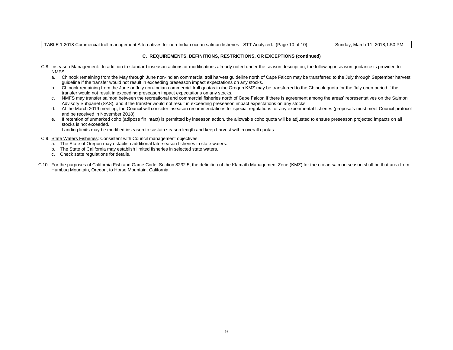TABLE 1.2018 Commercial troll management Alternatives for non-Indian ocean salmon fisheries - STT Analyzed. (Page 10 of 10) Sunday, March 11, 2018,1:50 PM

# **C. REQUIREMENTS, DEFINITIONS, RESTRICTIONS, OR EXCEPTIONS (continued)**

- C.8. Inseason Management: In addition to standard inseason actions or modifications already noted under the season description, the following inseason guidance is provided to NMFS:
	- a. Chinook remaining from the May through June non-Indian commercial troll harvest guideline north of Cape Falcon may be transferred to the July through September harvest guideline if the transfer would not result in exceeding preseason impact expectations on any stocks.
	- b. Chinook remaining from the June or July non-Indian commercial troll quotas in the Oregon KMZ may be transferred to the Chinook quota for the July open period if the transfer would not result in exceeding preseason impact expectations on any stocks.
	- c. NMFS may transfer salmon between the recreational and commercial fisheries north of Cape Falcon if there is agreement among the areas' representatives on the Salmon Advisory Subpanel (SAS), and if the transfer would not result in exceeding preseason impact expectations on any stocks.
	- d. At the March 2019 meeting, the Council will consider inseason recommendations for special regulations for any experimental fisheries (proposals must meet Council protocol and be received in November 2018).
	- e. If retention of unmarked coho (adipose fin intact) is permitted by inseason action, the allowable coho quota will be adjusted to ensure preseason projected impacts on all stocks is not exceeded.
	- f. Landing limits may be modified inseason to sustain season length and keep harvest within overall quotas.
- C.9. State Waters Fisheries: Consistent with Council management objectives:
	- a. The State of Oregon may establish additional late-season fisheries in state waters.
	- b. The State of California may establish limited fisheries in selected state waters.
	- c. Check state regulations for details.
- C.10. For the purposes of California Fish and Game Code, Section 8232.5, the definition of the Klamath Management Zone (KMZ) for the ocean salmon season shall be that area from Humbug Mountain, Oregon, to Horse Mountain, California.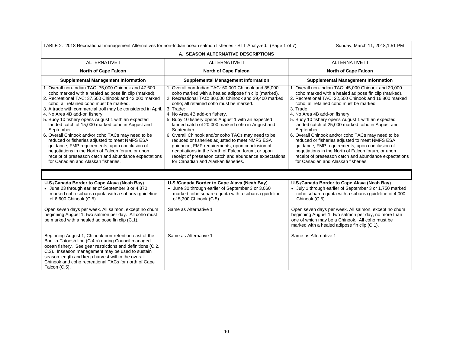|                                                                                                                                                                                                                                                                                                                                                                                                                                                                                                                                                                                                                                                                                                                                                           | TABLE 2. 2018 Recreational management Alternatives for non-Indian ocean salmon fisheries - STT Analyzed. (Page 1 of 7)                                                                                                                                                                                                                                                                                                                                                                                                                                                                                                                                                                                 | Sunday, March 11, 2018,1:51 PM                                                                                                                                                                                                                                                                                                                                                                                                                                                                                                                                                                                                                                                                         |  |  |
|-----------------------------------------------------------------------------------------------------------------------------------------------------------------------------------------------------------------------------------------------------------------------------------------------------------------------------------------------------------------------------------------------------------------------------------------------------------------------------------------------------------------------------------------------------------------------------------------------------------------------------------------------------------------------------------------------------------------------------------------------------------|--------------------------------------------------------------------------------------------------------------------------------------------------------------------------------------------------------------------------------------------------------------------------------------------------------------------------------------------------------------------------------------------------------------------------------------------------------------------------------------------------------------------------------------------------------------------------------------------------------------------------------------------------------------------------------------------------------|--------------------------------------------------------------------------------------------------------------------------------------------------------------------------------------------------------------------------------------------------------------------------------------------------------------------------------------------------------------------------------------------------------------------------------------------------------------------------------------------------------------------------------------------------------------------------------------------------------------------------------------------------------------------------------------------------------|--|--|
| A. SEASON ALTERNATIVE DESCRIPTIONS                                                                                                                                                                                                                                                                                                                                                                                                                                                                                                                                                                                                                                                                                                                        |                                                                                                                                                                                                                                                                                                                                                                                                                                                                                                                                                                                                                                                                                                        |                                                                                                                                                                                                                                                                                                                                                                                                                                                                                                                                                                                                                                                                                                        |  |  |
| <b>ALTERNATIVE I</b>                                                                                                                                                                                                                                                                                                                                                                                                                                                                                                                                                                                                                                                                                                                                      | <b>ALTERNATIVE II</b>                                                                                                                                                                                                                                                                                                                                                                                                                                                                                                                                                                                                                                                                                  | <b>ALTERNATIVE III</b>                                                                                                                                                                                                                                                                                                                                                                                                                                                                                                                                                                                                                                                                                 |  |  |
| <b>North of Cape Falcon</b>                                                                                                                                                                                                                                                                                                                                                                                                                                                                                                                                                                                                                                                                                                                               | <b>North of Cape Falcon</b>                                                                                                                                                                                                                                                                                                                                                                                                                                                                                                                                                                                                                                                                            | North of Cape Falcon                                                                                                                                                                                                                                                                                                                                                                                                                                                                                                                                                                                                                                                                                   |  |  |
| <b>Supplemental Management Information</b>                                                                                                                                                                                                                                                                                                                                                                                                                                                                                                                                                                                                                                                                                                                | <b>Supplemental Management Information</b>                                                                                                                                                                                                                                                                                                                                                                                                                                                                                                                                                                                                                                                             | <b>Supplemental Management Information</b>                                                                                                                                                                                                                                                                                                                                                                                                                                                                                                                                                                                                                                                             |  |  |
| 1. Overall non-Indian TAC: 75,000 Chinook and 47,600<br>coho marked with a healed adipose fin clip (marked).<br>2. Recreational TAC: 37,500 Chinook and 42,000 marked<br>coho: all retained coho must be marked.<br>3. A trade with commercial troll may be considered in April.<br>4. No Area 4B add-on fishery.<br>5. Buoy 10 fishery opens August 1 with an expected<br>landed catch of 15,000 marked coho in August and<br>September.<br>6. Overall Chinook and/or coho TACs may need to be<br>reduced or fisheries adjusted to meet NMFS ESA<br>guidance, FMP requirements, upon conclusion of<br>negotiations in the North of Falcon forum, or upon<br>receipt of preseason catch and abundance expectations<br>for Canadian and Alaskan fisheries. | 1. Overall non-Indian TAC: 60,000 Chinook and 35,000<br>coho marked with a healed adipose fin clip (marked).<br>2. Recreational TAC: 30,000 Chinook and 29,400 marked<br>coho: all retained coho must be marked.<br>3. Trade:<br>4. No Area 4B add-on fishery.<br>5. Buoy 10 fishery opens August 1 with an expected<br>landed catch of 20,000 marked coho in August and<br>September.<br>6. Overall Chinook and/or coho TACs may need to be<br>reduced or fisheries adjusted to meet NMFS ESA<br>guidance, FMP requirements, upon conclusion of<br>negotiations in the North of Falcon forum, or upon<br>receipt of preseason catch and abundance expectations<br>for Canadian and Alaskan fisheries. | 1. Overall non-Indian TAC: 45,000 Chinook and 20,000<br>coho marked with a healed adipose fin clip (marked).<br>2. Recreational TAC: 22,500 Chinook and 16,800 marked<br>coho: all retained coho must be marked.<br>3. Trade:<br>4. No Area 4B add-on fishery.<br>5. Buoy 10 fishery opens August 1 with an expected<br>landed catch of 25,000 marked coho in August and<br>September.<br>6. Overall Chinook and/or coho TACs may need to be<br>reduced or fisheries adjusted to meet NMFS ESA<br>guidance, FMP requirements, upon conclusion of<br>negotiations in the North of Falcon forum, or upon<br>receipt of preseason catch and abundance expectations<br>for Canadian and Alaskan fisheries. |  |  |
|                                                                                                                                                                                                                                                                                                                                                                                                                                                                                                                                                                                                                                                                                                                                                           |                                                                                                                                                                                                                                                                                                                                                                                                                                                                                                                                                                                                                                                                                                        |                                                                                                                                                                                                                                                                                                                                                                                                                                                                                                                                                                                                                                                                                                        |  |  |
| U.S./Canada Border to Cape Alava (Neah Bay)<br>• June 23 through earlier of September 3 or 4,370<br>marked coho subarea quota with a subarea guideline<br>of 6,600 Chinook (C.5).<br>Open seven days per week. All salmon, except no chum<br>beginning August 1; two salmon per day. All coho must<br>be marked with a healed adipose fin clip (C.1).                                                                                                                                                                                                                                                                                                                                                                                                     | U.S./Canada Border to Cape Alava (Neah Bay)<br>• June 30 through earlier of September 3 or 3,060<br>marked coho subarea quota with a subarea guideline<br>of 5,300 Chinook (C.5).<br>Same as Alternative 1                                                                                                                                                                                                                                                                                                                                                                                                                                                                                             | U.S./Canada Border to Cape Alava (Neah Bay)<br>• July 1 through earlier of September 3 or 1,750 marked<br>coho subarea quota with a subarea guideline of 4,000<br>Chinook (C.5).<br>Open seven days per week. All salmon, except no chum<br>beginning August 1; two salmon per day, no more than<br>one of which may be a Chinook. All coho must be                                                                                                                                                                                                                                                                                                                                                    |  |  |
| Beginning August 1, Chinook non-retention east of the<br>Bonilla-Tatoosh line (C.4.a) during Council managed<br>ocean fishery. See gear restrictions and definitions (C.2,<br>C.3). Inseason management may be used to sustain<br>season length and keep harvest within the overall<br>Chinook and coho recreational TACs for north of Cape<br>Falcon (C.5).                                                                                                                                                                                                                                                                                                                                                                                              | Same as Alternative 1                                                                                                                                                                                                                                                                                                                                                                                                                                                                                                                                                                                                                                                                                  | marked with a healed adipose fin clip (C.1).<br>Same as Alternative 1                                                                                                                                                                                                                                                                                                                                                                                                                                                                                                                                                                                                                                  |  |  |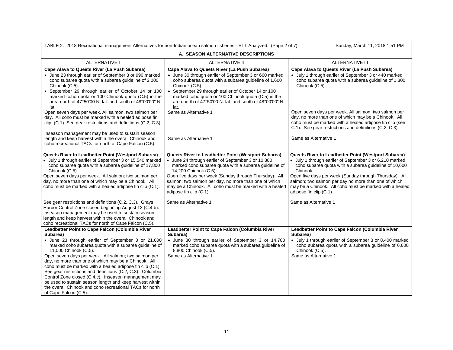| TABLE 2. 2018 Recreational management Alternatives for non-Indian ocean salmon fisheries - STT Analyzed. (Page 2 of 7)<br>Sunday, March 11, 2018, 1:51 PM                                                                                                                                                                                                                                                                                                                                                                                                                                                                                               |                                                                                                                                                                                                                                                                                                                                                                                                     |                                                                                                                                                                                                                                                                                                                                                                                            |  |  |
|---------------------------------------------------------------------------------------------------------------------------------------------------------------------------------------------------------------------------------------------------------------------------------------------------------------------------------------------------------------------------------------------------------------------------------------------------------------------------------------------------------------------------------------------------------------------------------------------------------------------------------------------------------|-----------------------------------------------------------------------------------------------------------------------------------------------------------------------------------------------------------------------------------------------------------------------------------------------------------------------------------------------------------------------------------------------------|--------------------------------------------------------------------------------------------------------------------------------------------------------------------------------------------------------------------------------------------------------------------------------------------------------------------------------------------------------------------------------------------|--|--|
| A. SEASON ALTERNATIVE DESCRIPTIONS                                                                                                                                                                                                                                                                                                                                                                                                                                                                                                                                                                                                                      |                                                                                                                                                                                                                                                                                                                                                                                                     |                                                                                                                                                                                                                                                                                                                                                                                            |  |  |
| <b>ALTERNATIVE I</b>                                                                                                                                                                                                                                                                                                                                                                                                                                                                                                                                                                                                                                    | <b>ALTERNATIVE II</b>                                                                                                                                                                                                                                                                                                                                                                               | <b>ALTERNATIVE III</b>                                                                                                                                                                                                                                                                                                                                                                     |  |  |
| Cape Alava to Queets River (La Push Subarea)<br>• June 23 through earlier of September 3 or 990 marked<br>coho subarea quota with a subarea guideline of 2,000<br>Chinook (C.5)<br>• September 29 through earlier of October 14 or 100<br>marked coho quota or 100 Chinook quota (C.5) in the<br>area north of 47°50'00 N. lat. and south of 48°00'00" N.<br>lat.                                                                                                                                                                                                                                                                                       | Cape Alava to Queets River (La Push Subarea)<br>• June 30 through earlier of September 3 or 660 marked<br>coho subarea quota with a subarea guideline of 1,600<br>Chinook (C.5).<br>• September 29 through earlier of October 14 or 100<br>marked coho quota or 100 Chinook quota (C.5) in the<br>area north of 47°50'00 N. lat. and south of 48°00'00" N.<br>lat.                                  | Cape Alava to Queets River (La Push Subarea)<br>• July 1 through earlier of September 3 or 440 marked<br>coho subarea quota with a subarea guideline of 1,300<br>Chinook (C.5).                                                                                                                                                                                                            |  |  |
| Open seven days per week. All salmon, two salmon per<br>day. All coho must be marked with a healed adipose fin<br>clip. (C.1). See gear restrictions and definitions (C.2, C.3).<br>Inseason management may be used to sustain season                                                                                                                                                                                                                                                                                                                                                                                                                   | Same as Alternative 1                                                                                                                                                                                                                                                                                                                                                                               | Open seven days per week. All salmon, two salmon per<br>day, no more than one of which may be a Chinook. All<br>coho must be marked with a healed adipose fin clip (see<br>C.1). See gear restrictions and definitions (C.2, C.3).                                                                                                                                                         |  |  |
| length and keep harvest within the overall Chinook and<br>coho recreational TACs for north of Cape Falcon (C.5).                                                                                                                                                                                                                                                                                                                                                                                                                                                                                                                                        | Same as Alternative 1                                                                                                                                                                                                                                                                                                                                                                               | Same as Alternative 1                                                                                                                                                                                                                                                                                                                                                                      |  |  |
| Queets River to Leadbetter Point (Westport Subarea)<br>• July 1 through earlier of September 3 or 15,540 marked<br>coho subarea quota with a subarea guideline of 17,800<br>Chinook (C.5).<br>Open seven days per week. All salmon; two salmon per<br>day, no more than one of which may be a Chinook. All<br>coho must be marked with a healed adipose fin clip (C.1).                                                                                                                                                                                                                                                                                 | Queets River to Leadbetter Point (Westport Subarea)<br>• June 24 through earlier of September 3 or 10,880<br>marked coho subarea quota with a subarea guideline of<br>14,200 Chinook (C.5)<br>Open five days per week (Sunday through Thursday). All<br>salmon; two salmon per day, no more than one of which<br>may be a Chinook. All coho must be marked with a healed<br>adipose fin clip (C.1). | Queets River to Leadbetter Point (Westport Subarea)<br>• July 1 through earlier of September 3 or 6,210 marked<br>coho subarea quota with a subarea guideline of 10,600<br>Chinook<br>Open five days per week (Sunday through Thursday). All<br>salmon; two salmon per day no more than one of which<br>may be a Chinook. All coho must be marked with a healed<br>adipose fin clip (C.1). |  |  |
| See gear restrictions and definitions (C.2, C.3). Grays<br>Harbor Control Zone closed beginning August 13 (C.4.b).<br>Inseason management may be used to sustain season<br>length and keep harvest within the overall Chinook and<br>coho recreational TACs for north of Cape Falcon (C.5).                                                                                                                                                                                                                                                                                                                                                             | Same as Alternative 1                                                                                                                                                                                                                                                                                                                                                                               | Same as Alternative 1                                                                                                                                                                                                                                                                                                                                                                      |  |  |
| Leadbetter Point to Cape Falcon (Columbia River<br>Subarea)<br>• June 23 through earlier of September 3 or 21,000<br>marked coho subarea quota with a subarea guideline of<br>11,000 Chinook (C.5).<br>Open seven days per week. All salmon; two salmon per<br>day, no more than one of which may be a Chinook. All<br>coho must be marked with a healed adipose fin clip (C.1).<br>See gear restrictions and definitions (C.2, C.3). Columbia<br>Control Zone closed (C.4.c). Inseason management may<br>be used to sustain season length and keep harvest within<br>the overall Chinook and coho recreational TACs for north<br>of Cape Falcon (C.5). | Leadbetter Point to Cape Falcon (Columbia River<br>Subarea)<br>• June 30 through earlier of September 3 or 14,700<br>marked coho subarea quota with a subarea guideline of<br>8,800 Chinook (C.5).<br>Same as Alternative 1                                                                                                                                                                         | Leadbetter Point to Cape Falcon (Columbia River<br>Subarea)<br>• July 1 through earlier of September 3 or 8,400 marked<br>coho subarea quota with a subarea guideline of 6,600<br>Chinook (C.5).<br>Same as Alternative 1                                                                                                                                                                  |  |  |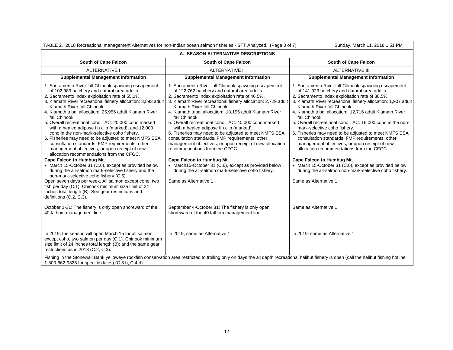| TABLE 2. 2018 Recreational management Alternatives for non-Indian ocean salmon fisheries - STT Analyzed. (Page 3 of 7)                                                                                                                                                                                                                                                                                                                                                                                                                                                                                                                                                                                                                                                                                                                                                                                       |                                                                                                                                                                                                                                                                                                                                                                                                                                                                                                                                                                                                                                                                                                                                                                                               | Sunday, March 11, 2018, 1:51 PM                                                                                                                                                                                                                                                                                                                                                                                                                                                                                                                                                                                                                                                                                                                                                             |  |  |
|--------------------------------------------------------------------------------------------------------------------------------------------------------------------------------------------------------------------------------------------------------------------------------------------------------------------------------------------------------------------------------------------------------------------------------------------------------------------------------------------------------------------------------------------------------------------------------------------------------------------------------------------------------------------------------------------------------------------------------------------------------------------------------------------------------------------------------------------------------------------------------------------------------------|-----------------------------------------------------------------------------------------------------------------------------------------------------------------------------------------------------------------------------------------------------------------------------------------------------------------------------------------------------------------------------------------------------------------------------------------------------------------------------------------------------------------------------------------------------------------------------------------------------------------------------------------------------------------------------------------------------------------------------------------------------------------------------------------------|---------------------------------------------------------------------------------------------------------------------------------------------------------------------------------------------------------------------------------------------------------------------------------------------------------------------------------------------------------------------------------------------------------------------------------------------------------------------------------------------------------------------------------------------------------------------------------------------------------------------------------------------------------------------------------------------------------------------------------------------------------------------------------------------|--|--|
| A. SEASON ALTERNATIVE DESCRIPTIONS                                                                                                                                                                                                                                                                                                                                                                                                                                                                                                                                                                                                                                                                                                                                                                                                                                                                           |                                                                                                                                                                                                                                                                                                                                                                                                                                                                                                                                                                                                                                                                                                                                                                                               |                                                                                                                                                                                                                                                                                                                                                                                                                                                                                                                                                                                                                                                                                                                                                                                             |  |  |
| South of Cape Falcon                                                                                                                                                                                                                                                                                                                                                                                                                                                                                                                                                                                                                                                                                                                                                                                                                                                                                         | South of Cape Falcon                                                                                                                                                                                                                                                                                                                                                                                                                                                                                                                                                                                                                                                                                                                                                                          | South of Cape Falcon                                                                                                                                                                                                                                                                                                                                                                                                                                                                                                                                                                                                                                                                                                                                                                        |  |  |
| <b>ALTERNATIVE I</b>                                                                                                                                                                                                                                                                                                                                                                                                                                                                                                                                                                                                                                                                                                                                                                                                                                                                                         | <b>ALTERNATIVE II</b>                                                                                                                                                                                                                                                                                                                                                                                                                                                                                                                                                                                                                                                                                                                                                                         | <b>ALTERNATIVE III</b>                                                                                                                                                                                                                                                                                                                                                                                                                                                                                                                                                                                                                                                                                                                                                                      |  |  |
| <b>Supplemental Management Information</b>                                                                                                                                                                                                                                                                                                                                                                                                                                                                                                                                                                                                                                                                                                                                                                                                                                                                   | <b>Supplemental Management Information</b>                                                                                                                                                                                                                                                                                                                                                                                                                                                                                                                                                                                                                                                                                                                                                    | <b>Supplemental Management Information</b>                                                                                                                                                                                                                                                                                                                                                                                                                                                                                                                                                                                                                                                                                                                                                  |  |  |
| 1. Sacramento River fall Chinook spawning escapement<br>of 102,983 hatchery and natural area adults.<br>2. Sacramento Index exploitation rate of 55.1%.<br>3. Klamath River recreational fishery allocation: 3,893 adult<br>Klamath River fall Chinook.<br>4. Klamath tribal allocation: 25,956 adult Klamath River<br>fall Chinook.<br>5. Overall recreational coho TAC: 20,000 coho marked<br>with a healed adipose fin clip (marked), and 12,000<br>coho in the non-mark-selective coho fishery.<br>6. Fisheries may need to be adjusted to meet NMFS ESA<br>consultation standards, FMP requirements, other<br>management objectives, or upon receipt of new<br>allocation recommendations from the CFGC.<br><b>Cape Falcon to Humbug Mt.</b><br>• March 15-October 31 (C.6), except as provided below<br>during the all-salmon mark-selective fishery and the<br>non-mark-selective coho fishery (C.5). | 1. Sacramento River fall Chinook spawning escapement<br>of 122,762 hatchery and natural area adults.<br>2. Sacramento Index exploitation rate of 46.5%.<br>3. Klamath River recreational fishery allocation: 2,729 adult<br>Klamath River fall Chinook.<br>4. Klamath tribal allocation: 18,195 adult Klamath River<br>fall Chinook.<br>5. Overall recreational coho TAC: 40,000 coho marked<br>with a healed adipose fin clip (marked).<br>6. Fisheries may need to be adjusted to meet NMFS ESA<br>consultation standards, FMP requirements, other<br>management objectives, or upon receipt of new allocation<br>recommendations from the CFGC.<br>Cape Falcon to Humbug Mt.<br>• March15-October 31 (C.6), except as provided below<br>during the all-salmon mark-selective coho fishery. | 1. Sacramento River fall Chinook spawning escapement<br>of 141,023 hatchery and natural area adults.<br>2. Sacramento Index exploitation rate of 38.5%.<br>3. Klamath River recreational fishery allocation: 1,907 adult<br>Klamath River fall Chinook.<br>4. Klamath tribal allocation: 12,716 adult Klamath River<br>fall Chinook.<br>5. Overall recreational coho TAC: 16,000 coho in the non-<br>mark-selective coho fishery.<br>6. Fisheries may need to be adjusted to meet NMFS ESA<br>consultation standards, FMP requirements, other<br>management objectives, or upon receipt of new<br>allocation recommendations from the CFGC.<br>Cape Falcon to Humbug Mt.<br>• March 15-October 31 (C.6), except as provided below<br>during the all-salmon non-mark-selective coho fishery. |  |  |
| Open seven days per week. All salmon except coho, two<br>fish per day (C.1). Chinook minimum size limit of 24<br>inches total length (B). See gear restrictions and<br>definitions (C.2, C.3).<br>October 1-31: The fishery is only open shoreward of the                                                                                                                                                                                                                                                                                                                                                                                                                                                                                                                                                                                                                                                    | Same as Alternative 1<br>September 4-October 31: The fishery is only open                                                                                                                                                                                                                                                                                                                                                                                                                                                                                                                                                                                                                                                                                                                     | Same as Alternative 1<br>Same as Alternative 1                                                                                                                                                                                                                                                                                                                                                                                                                                                                                                                                                                                                                                                                                                                                              |  |  |
| 40 fathom management line.<br>In 2019, the season will open March 15 for all salmon<br>except coho, two salmon per day (C.1). Chinook minimum<br>size limit of 24 inches total length (B); and the same gear<br>restrictions as in 2018 (C.2, C.3).                                                                                                                                                                                                                                                                                                                                                                                                                                                                                                                                                                                                                                                          | shoreward of the 40 fathom management line.<br>In 2019, same as Alternative 1<br>Fishing in the Stonewall Bank yelloweye rockfish conservation area restricted to trolling only on days the all depth recreational halibut fishery is open (call the halibut fishing hotline                                                                                                                                                                                                                                                                                                                                                                                                                                                                                                                  | In 2019, same as Alternative 1                                                                                                                                                                                                                                                                                                                                                                                                                                                                                                                                                                                                                                                                                                                                                              |  |  |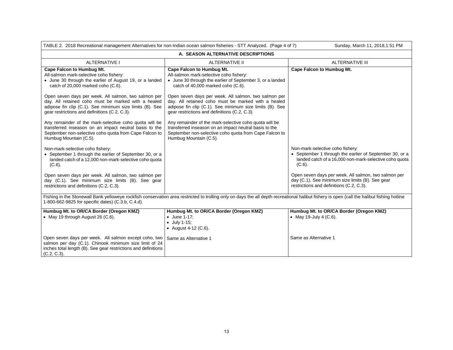| TABLE 2. 2018 Recreational management Alternatives for non-Indian ocean salmon fisheries - STT Analyzed. (Page 4 of 7)<br>Sunday, March 11, 2018, 1:51 PM                                                                                                                                                                                                                                                                                                                                                                                                                                                                                                                                                                                                                       |                                                                                                                                                                                                                                                                                                                                                                                                                                                                                                                                                                                                                    |                                                                                                                                                                                                 |  |  |
|---------------------------------------------------------------------------------------------------------------------------------------------------------------------------------------------------------------------------------------------------------------------------------------------------------------------------------------------------------------------------------------------------------------------------------------------------------------------------------------------------------------------------------------------------------------------------------------------------------------------------------------------------------------------------------------------------------------------------------------------------------------------------------|--------------------------------------------------------------------------------------------------------------------------------------------------------------------------------------------------------------------------------------------------------------------------------------------------------------------------------------------------------------------------------------------------------------------------------------------------------------------------------------------------------------------------------------------------------------------------------------------------------------------|-------------------------------------------------------------------------------------------------------------------------------------------------------------------------------------------------|--|--|
| A. SEASON ALTERNATIVE DESCRIPTIONS                                                                                                                                                                                                                                                                                                                                                                                                                                                                                                                                                                                                                                                                                                                                              |                                                                                                                                                                                                                                                                                                                                                                                                                                                                                                                                                                                                                    |                                                                                                                                                                                                 |  |  |
| <b>ALTERNATIVE I</b>                                                                                                                                                                                                                                                                                                                                                                                                                                                                                                                                                                                                                                                                                                                                                            | <b>ALTERNATIVE II</b>                                                                                                                                                                                                                                                                                                                                                                                                                                                                                                                                                                                              | <b>ALTERNATIVE III</b>                                                                                                                                                                          |  |  |
| Cape Falcon to Humbug Mt.<br>All-salmon mark-selective coho fishery:<br>• June 30 through the earlier of August 19, or a landed<br>catch of 20,000 marked coho (C.6).<br>Open seven days per week. All salmon, two salmon per<br>day. All retained coho must be marked with a healed<br>adipose fin clip (C.1). See minimum size limits (B). See<br>gear restrictions and definitions (C.2, C.3).<br>Any remainder of the mark-selective coho quota will be<br>transferred inseason on an impact neutral basis to the<br>September non-selective coho quota from Cape Falcon to<br>Humbug Mountain (C.5).<br>Non-mark-selective coho fishery:<br>• September 1 through the earlier of September 30, or a<br>landed catch of a 12,000 non-mark-selective coho quota<br>$(C.6)$ . | <b>Cape Falcon to Humbug Mt.</b><br>All-salmon mark-selective coho fishery:<br>• June 30 through the earlier of September 3, or a landed<br>catch of 40,000 marked coho (C.6).<br>Open seven days per week. All salmon, two salmon per<br>day. All retained coho must be marked with a healed<br>adipose fin clip (C.1). See minimum size limits (B). See<br>gear restrictions and definitions (C.2, C.3).<br>Any remainder of the mark-selective coho quota will be<br>transferred inseason on an impact neutral basis to the<br>September non-selective coho quota from Cape Falcon to<br>Humbug Mountain (C.5). | Cape Falcon to Humbug Mt.<br>Non-mark-selective coho fishery:<br>• September 1 through the earlier of September 30, or a<br>landed catch of a 16,000 non-mark-selective coho quota<br>$(C.6)$ . |  |  |
| Open seven days per week. All salmon, two salmon per<br>day (C.1). See minimum size limits (B). See gear<br>restrictions and definitions (C.2, C.3).                                                                                                                                                                                                                                                                                                                                                                                                                                                                                                                                                                                                                            |                                                                                                                                                                                                                                                                                                                                                                                                                                                                                                                                                                                                                    | Open seven days per week. All salmon, two salmon per<br>day (C.1). See minimum size limits (B). See gear<br>restrictions and definitions (C.2, C.3).                                            |  |  |
| Fishing in the Stonewall Bank yelloweye rockfish conservation area restricted to trolling only on days the all depth recreational halibut fishery is open (call the halibut fishing hotline<br>1-800-662-9825 for specific dates) (C.3.b, C.4.d).                                                                                                                                                                                                                                                                                                                                                                                                                                                                                                                               |                                                                                                                                                                                                                                                                                                                                                                                                                                                                                                                                                                                                                    |                                                                                                                                                                                                 |  |  |
| Humbug Mt. to OR/CA Border (Oregon KMZ)<br>• May 19 through August 26 (C.6).                                                                                                                                                                                                                                                                                                                                                                                                                                                                                                                                                                                                                                                                                                    | Humbug Mt. to OR/CA Border (Oregon KMZ)<br>$\bullet$ June 1-17;<br>$\bullet$ July 1-15;<br>• August 4-12 $(C.6)$ .                                                                                                                                                                                                                                                                                                                                                                                                                                                                                                 | Humbug Mt. to OR/CA Border (Oregon KMZ)<br>• May 19-July 4 $(C.6)$ .                                                                                                                            |  |  |
| Open seven days per week. All salmon except coho, two<br>salmon per day (C.1). Chinook minimum size limit of 24<br>inches total length (B). See gear restrictions and definitions<br>$(C.2, C.3)$ .                                                                                                                                                                                                                                                                                                                                                                                                                                                                                                                                                                             | Same as Alternative 1                                                                                                                                                                                                                                                                                                                                                                                                                                                                                                                                                                                              | Same as Alternative 1                                                                                                                                                                           |  |  |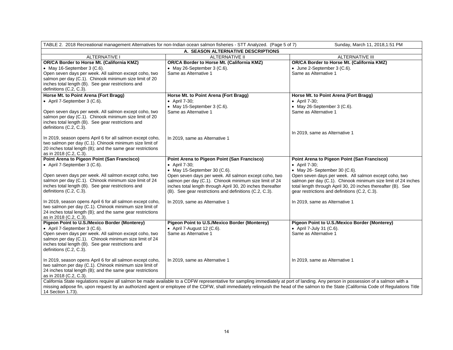| TABLE 2. 2018 Recreational management Alternatives for non-Indian ocean salmon fisheries - STT Analyzed. (Page 5 of 7)<br>Sunday, March 11, 2018, 1:51 PM                                                                                                                                                                                                                                                                                        |                                                                                                                                                                                                                                                                                                                               |                                                                                                                                                                                                                                                                                                                                     |  |  |
|--------------------------------------------------------------------------------------------------------------------------------------------------------------------------------------------------------------------------------------------------------------------------------------------------------------------------------------------------------------------------------------------------------------------------------------------------|-------------------------------------------------------------------------------------------------------------------------------------------------------------------------------------------------------------------------------------------------------------------------------------------------------------------------------|-------------------------------------------------------------------------------------------------------------------------------------------------------------------------------------------------------------------------------------------------------------------------------------------------------------------------------------|--|--|
| A. SEASON ALTERNATIVE DESCRIPTIONS                                                                                                                                                                                                                                                                                                                                                                                                               |                                                                                                                                                                                                                                                                                                                               |                                                                                                                                                                                                                                                                                                                                     |  |  |
| <b>ALTERNATIVE I</b>                                                                                                                                                                                                                                                                                                                                                                                                                             | <b>ALTERNATIVE II</b>                                                                                                                                                                                                                                                                                                         | <b>ALTERNATIVE III</b>                                                                                                                                                                                                                                                                                                              |  |  |
| OR/CA Border to Horse Mt. (California KMZ)<br>• May 16-September 3 $(C.6)$ .<br>Open seven days per week. All salmon except coho, two<br>salmon per day (C.1). Chinook minimum size limit of 20<br>inches total length (B). See gear restrictions and<br>definitions (C.2, C.3).                                                                                                                                                                 | OR/CA Border to Horse Mt. (California KMZ)<br>$\bullet$ May 26-September 3 (C.6).<br>Same as Alternative 1                                                                                                                                                                                                                    | OR/CA Border to Horse Mt. (California KMZ)<br>• June 2-September 3 (C.6).<br>Same as Alternative 1                                                                                                                                                                                                                                  |  |  |
| Horse Mt. to Point Arena (Fort Bragg)                                                                                                                                                                                                                                                                                                                                                                                                            | Horse Mt. to Point Arena (Fort Bragg)                                                                                                                                                                                                                                                                                         | Horse Mt. to Point Arena (Fort Bragg)                                                                                                                                                                                                                                                                                               |  |  |
| • April 7-September 3 (C.6).<br>Open seven days per week. All salmon except coho, two<br>salmon per day (C.1). Chinook minimum size limit of 20<br>inches total length (B). See gear restrictions and<br>definitions (C.2, C.3).                                                                                                                                                                                                                 | $\bullet$ April 7-30;<br>$\bullet$ May 15-September 3 (C.6).<br>Same as Alternative 1                                                                                                                                                                                                                                         | • April 7-30;<br>$\bullet$ May 26-September 3 (C.6).<br>Same as Alternative 1                                                                                                                                                                                                                                                       |  |  |
| In 2019, season opens April 6 for all salmon except coho,<br>two salmon per day (C.1). Chinook minimum size limit of<br>20 inches total length (B); and the same gear restrictions<br>as in 2018 (C.2, C.3).                                                                                                                                                                                                                                     | In 2019, same as Alternative 1                                                                                                                                                                                                                                                                                                | In 2019, same as Alternative 1                                                                                                                                                                                                                                                                                                      |  |  |
| Point Arena to Pigeon Point (San Francisco)                                                                                                                                                                                                                                                                                                                                                                                                      | Point Arena to Pigeon Point (San Francisco)                                                                                                                                                                                                                                                                                   | Point Arena to Pigeon Point (San Francisco)                                                                                                                                                                                                                                                                                         |  |  |
| • April 7-September 3 (C.6).<br>Open seven days per week. All salmon except coho, two<br>salmon per day (C.1). Chinook minimum size limit of 24<br>inches total length (B). See gear restrictions and<br>definitions (C.2, C.3).<br>In 2019, season opens April 6 for all salmon except coho,<br>two salmon per day (C.1). Chinook minimum size limit of<br>24 inches total length (B); and the same gear restrictions<br>as in 2018 (C.2, C.3). | • April 7-30;<br>• May 15-September 30 $(C.6)$ .<br>Open seven days per week. All salmon except coho, two<br>salmon per day (C.1). Chinook minimum size limit of 24<br>inches total length through April 30, 20 inches thereafter<br>(B). See gear restrictions and definitions (C.2, C.3).<br>In 2019, same as Alternative 1 | • April 7-30;<br>$\bullet$ May 26- September 30 (C.6).<br>Open seven days per week. All salmon except coho, two<br>salmon per day (C.1). Chinook minimum size limit of 24 inches<br>total length through April 30, 20 inches thereafter (B). See<br>gear restrictions and definitions (C.2, C.3).<br>In 2019, same as Alternative 1 |  |  |
| Pigeon Point to U.S./Mexico Border (Monterey)<br>• April 7-September 3 (C.6).<br>Open seven days per week. All salmon except coho, two<br>salmon per day (C.1). Chinook minimum size limit of 24<br>inches total length (B). See gear restrictions and<br>definitions (C.2, C.3).                                                                                                                                                                | Pigeon Point to U.S./Mexico Border (Monterey)<br>• April 7-August 12 $(C.6)$ .<br>Same as Alternative 1                                                                                                                                                                                                                       | Pigeon Point to U.S./Mexico Border (Monterey)<br>• April 7-July 31 (C.6).<br>Same as Alternative 1                                                                                                                                                                                                                                  |  |  |
| In 2019, season opens April 6 for all salmon except coho,<br>two salmon per day (C.1). Chinook minimum size limit of<br>24 inches total length (B); and the same gear restrictions<br>as in 2018 (C.2, C.3).                                                                                                                                                                                                                                     | In 2019, same as Alternative 1                                                                                                                                                                                                                                                                                                | In 2019, same as Alternative 1                                                                                                                                                                                                                                                                                                      |  |  |
| California State regulations require all salmon be made available to a CDFW representative for sampling immediately at port of landing. Any person in possession of a salmon with a<br>missing adipose fin, upon request by an authorized agent or employee of the CDFW, shall immediately relinquish the head of the salmon to the State (California Code of Regulations Title<br>14 Section 1.73).                                             |                                                                                                                                                                                                                                                                                                                               |                                                                                                                                                                                                                                                                                                                                     |  |  |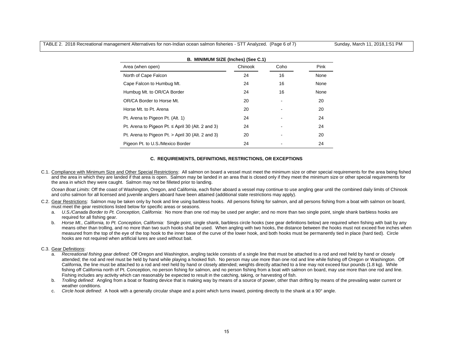TABLE 2. 2018 Recreational management Alternatives for non-Indian ocean salmon fisheries - STT Analyzed. (Page 6 of 7) Sunday, March 11, 2018,1:51 PM

| B. MINIMUM SIZE (Inches) (See C.1)                    |         |      |      |  |  |  |  |  |  |  |  |  |
|-------------------------------------------------------|---------|------|------|--|--|--|--|--|--|--|--|--|
| Area (when open)                                      | Chinook | Coho | Pink |  |  |  |  |  |  |  |  |  |
| North of Cape Falcon                                  | 24      | 16   | None |  |  |  |  |  |  |  |  |  |
| Cape Falcon to Humbug Mt.                             | 24      | 16   | None |  |  |  |  |  |  |  |  |  |
| Humbug Mt. to OR/CA Border                            | 24      | 16   | None |  |  |  |  |  |  |  |  |  |
| OR/CA Border to Horse Mt.                             | 20      |      | 20   |  |  |  |  |  |  |  |  |  |
| Horse Mt. to Pt. Arena                                | 20      |      | 20   |  |  |  |  |  |  |  |  |  |
| Pt. Arena to Pigeon Pt. (Alt. 1)                      | 24      |      | 24   |  |  |  |  |  |  |  |  |  |
| Pt. Arena to Pigeon Pt. $\le$ April 30 (Alt. 2 and 3) | 24      |      | 24   |  |  |  |  |  |  |  |  |  |
| Pt. Arena to Pigeon Pt. > April 30 (Alt. 2 and 3)     | 20      |      | 20   |  |  |  |  |  |  |  |  |  |
| Pigeon Pt. to U.S./Mexico Border                      | 24      |      | 24   |  |  |  |  |  |  |  |  |  |

# **C. REQUIREMENTS, DEFINITIONS, RESTRICTIONS, OR EXCEPTIONS**

C.1. Compliance with Minimum Size and Other Special Restrictions: All salmon on board a vessel must meet the minimum size or other special requirements for the area being fished and the area in which they are landed if that area is open. Salmon may be landed in an area that is closed only if they meet the minimum size or other special requirements for the area in which they were caught. Salmon may not be filleted prior to landing.

*Ocean Boat Limits*: Off the coast of Washington, Oregon, and California, each fisher aboard a vessel may continue to use angling gear until the combined daily limits of Chinook and coho salmon for all licensed and juvenile anglers aboard have been attained (additional state restrictions may apply).

- C.2. Gear Restrictions: Salmon may be taken only by hook and line using barbless hooks. All persons fishing for salmon, and all persons fishing from a boat with salmon on board, must meet the gear restrictions listed below for specific areas or seasons.
	- a. *U.S./Canada Border to Pt. Conception, California*: No more than one rod may be used per angler; and no more than two single point, single shank barbless hooks are required for all fishing gear.
	- b. *Horse Mt., California, to Pt. Conception, California:* Single point, single shank, barbless circle hooks (see gear definitions below) are required when fishing with bait by any means other than trolling, and no more than two such hooks shall be used. When angling with two hooks, the distance between the hooks must not exceed five inches when measured from the top of the eye of the top hook to the inner base of the curve of the lower hook, and both hooks must be permanently tied in place (hard tied). Circle hooks are not required when artificial lures are used without bait.

# C.3. Gear Definitions:

- a. *Recreational fishing gear defined*: Off Oregon and Washington, angling tackle consists of a single line that must be attached to a rod and reel held by hand or closely attended; the rod and reel must be held by hand while playing a hooked fish. No person may use more than one rod and line while fishing off Oregon or Washington. Off California, the line must be attached to a rod and reel held by hand or closely attended; weights directly attached to a line may not exceed four pounds (1.8 kg). While fishing off California north of Pt. Conception, no person fishing for salmon, and no person fishing from a boat with salmon on board, may use more than one rod and line. Fishing includes any activity which can reasonably be expected to result in the catching, taking, or harvesting of fish.
- b. *Trolling defined*: Angling from a boat or floating device that is making way by means of a source of power, other than drifting by means of the prevailing water current or weather conditions.
- c. *Circle hook defined*: A hook with a generally circular shape and a point which turns inward, pointing directly to the shank at a 90° angle.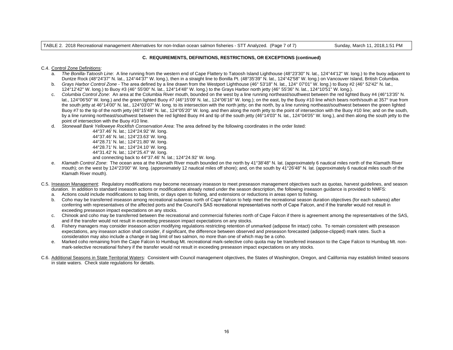TABLE 2. 2018 Recreational management Alternatives for non-Indian ocean salmon fisheries - STT Analyzed. (Page 7 of 7) Sunday, March 11, 2018,1:51 PM

#### **C. REQUIREMENTS, DEFINITIONS, RESTRICTIONS, OR EXCEPTIONS (continued)**

#### C.4. Control Zone Definitions:

- a. *The Bonilla-Tatoosh Line*: A line running from the western end of Cape Flattery to Tatoosh Island Lighthouse (48°23'30" N. lat., 124°44'12" W. long.) to the buoy adjacent to Duntze Rock (48°24'37" N. lat., 124°44'37" W. long.), then in a straight line to Bonilla Pt. (48°35'39" N. lat., 124°42'58" W. long.) on Vancouver Island, British Columbia.
- b. *Grays Harbor Control Zone* The area defined by a line drawn from the Westport Lighthouse (46° 53'18" N. lat., 124° 07'01" W. long.) to Buoy #2 (46° 52'42" N. lat., 124°12'42" W. long.) to Buoy #3 (46° 55'00" N. lat., 124°14'48" W. long.) to the Grays Harbor north jetty (46° 55'36" N. lat., 124°10'51" W. long.).
- c. *Columbia Control Zone*: An area at the Columbia River mouth, bounded on the west by a line running northeast/southwest between the red lighted Buoy #4 (46°13'35" N. lat., 124°06'50" W. long.) and the green lighted Buoy #7 (46°15'09' N. lat., 124°06'16" W. long.); on the east, by the Buoy #10 line which bears north/south at 357° true from the south jetty at 46°14'00" N. lat., 124°03'07" W. long. to its intersection with the north jetty; on the north, by a line running northeast/southwest between the green lighted Buoy #7 to the tip of the north jetty (46°15'48" N. lat., 124°05'20" W. long. and then along the north jetty to the point of intersection with the Buoy #10 line; and on the south, by a line running northeast/southwest between the red lighted Buoy #4 and tip of the south jetty (46°14'03" N. lat., 124°04'05" W. long.), and then along the south jetty to the point of intersection with the Buoy #10 line.
- d. *Stonewall Bank Yelloweye Rockfish Conservation Area*: The area defined by the following coordinates in the order listed:

 44°37.46' N. lat.; 124°24.92' W. long. 44°37.46' N. lat.; 124°23.63' W. long. 44°28.71' N. lat.; 124°21.80' W. long. 44°28.71' N. lat.; 124°24.10' W. long. 44°31.42' N. lat.; 124°25.47' W. long. and connecting back to 44°37.46' N. lat.; 124°24.92' W. long.

- e. *Klamath Control Zone*: The ocean area at the Klamath River mouth bounded on the north by 41°38'48" N. lat. (approximately 6 nautical miles north of the Klamath River mouth); on the west by 124°23'00" W. long. (approximately 12 nautical miles off shore); and, on the south by 41°26'48" N. lat. (approximately 6 nautical miles south of the Klamath River mouth).
- C.5. Inseason Management: Regulatory modifications may become necessary inseason to meet preseason management objectives such as quotas, harvest guidelines, and season duration. In addition to standard inseason actions or modifications already noted under the season description, the following inseason guidance is provided to NMFS:
	- a. Actions could include modifications to bag limits, or days open to fishing, and extensions or reductions in areas open to fishing.
	- b. Coho may be transferred inseason among recreational subareas north of Cape Falcon to help meet the recreational season duration objectives (for each subarea) after conferring with representatives of the affected ports and the Council's SAS recreational representatives north of Cape Falcon, and if the transfer would not result in exceeding preseason impact expectations on any stocks.
	- c. Chinook and coho may be transferred between the recreational and commercial fisheries north of Cape Falcon if there is agreement among the representatives of the SAS, and if the transfer would not result in exceeding preseason impact expectations on any stocks.
	- d. Fishery managers may consider inseason action modifying regulations restricting retention of unmarked (adipose fin intact) coho. To remain consistent with preseason expectations, any inseason action shall consider, if significant, the difference between observed and preseason forecasted (adipose-clipped) mark rates. Such a consideration may also include a change in bag limit of two salmon, no more than one of which may be a coho.
	- e. Marked coho remaining from the Cape Falcon to Humbug Mt. recreational mark-selective coho quota may be transferred inseason to the Cape Falcon to Humbug Mt. nonmark-selective recreational fishery if the transfer would not result in exceeding preseason impact expectations on any stocks.
- C.6. Additional Seasons in State Territorial Waters: Consistent with Council management objectives, the States of Washington, Oregon, and California may establish limited seasons in state waters. Check state regulations for details.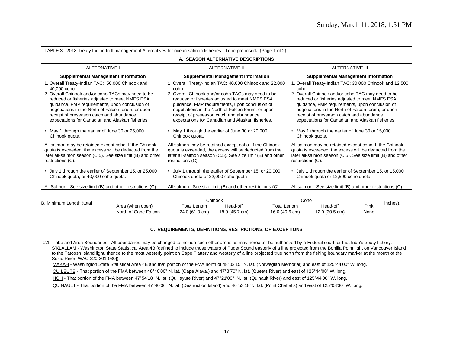| TABLE 3. 2018 Treaty Indian troll management Alternatives for ocean salmon fisheries - Tribe proposed. (Page 1 of 2)                                                                                                                                                                                                                                                             |                                                                                                                                                                                                                                                                                                                                                                                  |                                                                                                                                                                                                                                                                                                                                                                                 |  |  |  |  |  |  |  |  |  |
|----------------------------------------------------------------------------------------------------------------------------------------------------------------------------------------------------------------------------------------------------------------------------------------------------------------------------------------------------------------------------------|----------------------------------------------------------------------------------------------------------------------------------------------------------------------------------------------------------------------------------------------------------------------------------------------------------------------------------------------------------------------------------|---------------------------------------------------------------------------------------------------------------------------------------------------------------------------------------------------------------------------------------------------------------------------------------------------------------------------------------------------------------------------------|--|--|--|--|--|--|--|--|--|
|                                                                                                                                                                                                                                                                                                                                                                                  | A. SEASON ALTERNATIVE DESCRIPTIONS                                                                                                                                                                                                                                                                                                                                               |                                                                                                                                                                                                                                                                                                                                                                                 |  |  |  |  |  |  |  |  |  |
| <b>ALTERNATIVE I</b>                                                                                                                                                                                                                                                                                                                                                             | ALTERNATIVE II                                                                                                                                                                                                                                                                                                                                                                   | <b>ALTERNATIVE III</b>                                                                                                                                                                                                                                                                                                                                                          |  |  |  |  |  |  |  |  |  |
| <b>Supplemental Management Information</b>                                                                                                                                                                                                                                                                                                                                       | <b>Supplemental Management Information</b>                                                                                                                                                                                                                                                                                                                                       | <b>Supplemental Management Information</b>                                                                                                                                                                                                                                                                                                                                      |  |  |  |  |  |  |  |  |  |
| 1. Overall Treaty-Indian TAC: 50,000 Chinook and<br>40,000 coho.<br>2. Overall Chinook and/or coho TACs may need to be<br>reduced or fisheries adjusted to meet NMFS ESA<br>guidance, FMP requirements, upon conclusion of<br>negotiations in the North of Falcon forum, or upon<br>receipt of preseason catch and abundance<br>expectations for Canadian and Alaskan fisheries. | 1. Overall Treaty-Indian TAC: 40,000 Chinook and 22,000<br>coho.<br>2. Overall Chinook and/or coho TACs may need to be<br>reduced or fisheries adjusted to meet NMFS ESA<br>guidance, FMP requirements, upon conclusion of<br>negotiations in the North of Falcon forum, or upon<br>receipt of preseason catch and abundance<br>expectations for Canadian and Alaskan fisheries. | 1. Overall Treaty-Indian TAC: 30,000 Chinook and 12,500<br>coho.<br>2. Overall Chinook and/or coho TAC may need to be<br>reduced or fisheries adjusted to meet NMFS ESA<br>guidance, FMP requirements, upon conclusion of<br>negotiations in the North of Falcon forum, or upon<br>receipt of preseason catch and abundance<br>expectations for Canadian and Alaskan fisheries. |  |  |  |  |  |  |  |  |  |
| May 1 through the earlier of June 30 or 25,000<br>Chinook quota.<br>All salmon may be retained except coho. If the Chinook<br>quota is exceeded, the excess will be deducted from the<br>later all-salmon season (C.5). See size limit (B) and other<br>restrictions (C).<br>• July 1 through the earlier of September 15, or 25,000                                             | May 1 through the earlier of June 30 or 20,000<br>Chinook quota.<br>All salmon may be retained except coho. If the Chinook<br>quota is exceeded, the excess will be deducted from the<br>later all-salmon season (C.5). See size limit (B) and other<br>restrictions (C).<br>July 1 through the earlier of September 15, or 20,000                                               | May 1 through the earlier of June 30 or 15,000<br>Chinook quota.<br>All salmon may be retained except coho. If the Chinook<br>quota is exceeded, the excess will be deducted from the<br>later all-salmon season (C.5). See size limit (B) and other<br>restrictions (C).<br>• July 1 through the earlier of September 15, or 15,000                                            |  |  |  |  |  |  |  |  |  |
| Chinook quota, or 40,000 coho quota.<br>All Salmon. See size limit (B) and other restrictions (C).                                                                                                                                                                                                                                                                               | Chinook quota or 22,000 coho quota<br>All salmon. See size limit (B) and other restrictions (C).                                                                                                                                                                                                                                                                                 | Chinook quota or 12,500 coho quota.<br>All salmon. See size limit (B) and other restrictions (C).                                                                                                                                                                                                                                                                               |  |  |  |  |  |  |  |  |  |

| B. Minimum Length (total |                      |                     | Chinook        | Coho                |                |      |          |
|--------------------------|----------------------|---------------------|----------------|---------------------|----------------|------|----------|
|                          | Area (when open)     | <b>Total Length</b> | Head-off       | <b>Total Length</b> | Head-off       | Pink | inches). |
|                          | North of Cape Falcon | 24.0 (61.0 cm)      | 18.0 (45.7 cm) | 16.0 (40.6 cm)      | 12.0 (30.5 cm) | None |          |

# **C. REQUIREMENTS, DEFINITIONS, RESTRICTIONS, OR EXCEPTIONS**

C.1. Tribe and Area Boundaries. All boundaries may be changed to include such other areas as may hereafter be authorized by a Federal court for that tribe's treaty fishery. S'KLALLAM - Washington State Statistical Area 4B (defined to include those waters of Puget Sound easterly of a line projected from the Bonilla Point light on Vancouver Island to the Tatoosh Island light, thence to the most westerly point on Cape Flattery and westerly of a line projected true north from the fishing boundary marker at the mouth of the Sekiu River [WAC 220-301-030]).

MAKAH - Washington State Statistical Area 4B and that portion of the FMA north of 48°02'15" N. lat. (Norwegian Memorial) and east of 125°44'00" W. long.

QUILEUTE - That portion of the FMA between 48°10'00" N. lat. (Cape Alava.) and 47°3'70" N. lat. (Queets River) and east of 125°44'00" W. long.

HOH - That portion of the FMA between 47°54'18" N. lat. (Quillayute River) and 47°21'00" N. lat. (Quinault River) and east of 125°44'00" W. long.

QUINAULT - That portion of the FMA between 47°40'06" N. lat. (Destruction Island) and 46°53'18"N. lat. (Point Chehalis) and east of 125°08'30" W. long.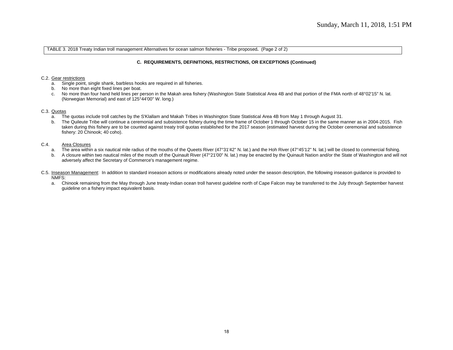TABLE 3. 2018 Treaty Indian troll management Alternatives for ocean salmon fisheries - Tribe proposed**.** (Page 2 of 2)

# **C. REQUIREMENTS, DEFINITIONS, RESTRICTIONS, OR EXCEPTIONS (Continued)**

#### C.2. Gear restrictions

- a. Single point, single shank, barbless hooks are required in all fisheries.
- b. No more than eight fixed lines per boat.
- c. No more than four hand held lines per person in the Makah area fishery (Washington State Statistical Area 4B and that portion of the FMA north of 48°02'15" N. lat. (Norwegian Memorial) and east of 125°44'00" W. long.)

#### C.3. Quotas

- a. The quotas include troll catches by the S'Klallam and Makah Tribes in Washington State Statistical Area 4B from May 1 through August 31.
- b. The Quileute Tribe will continue a ceremonial and subsistence fishery during the time frame of October 1 through October 15 in the same manner as in 2004-2015. Fish taken during this fishery are to be counted against treaty troll quotas established for the 2017 season (estimated harvest during the October ceremonial and subsistence fishery: 20 Chinook; 40 coho).

# C.4. Area Closures

- a. The area within a six nautical mile radius of the mouths of the Queets River (47°31'42" N. lat.) and the Hoh River (47°45'12" N. lat.) will be closed to commercial fishing.
- b. A closure within two nautical miles of the mouth of the Quinault River (47°21'00" N. lat.) may be enacted by the Quinault Nation and/or the State of Washington and will not adversely affect the Secretary of Commerce's management regime.
- C.5. Inseason Management: In addition to standard inseason actions or modifications already noted under the season description, the following inseason guidance is provided to NMFS:
	- a. Chinook remaining from the May through June treaty-Indian ocean troll harvest guideline north of Cape Falcon may be transferred to the July through September harvest guideline on a fishery impact equivalent basis.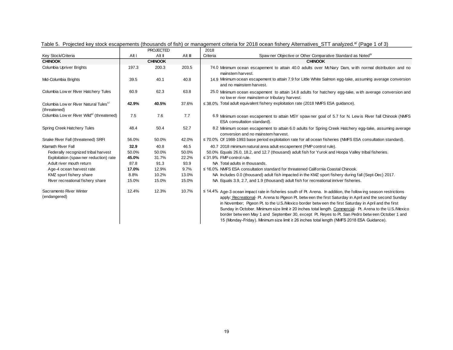|                                                                   |       | <b>PROJECTED</b> |         | 2018                                                                                                                                                                                                                                                                                                                                                                                                                                                                                                                                                                                                                                             |
|-------------------------------------------------------------------|-------|------------------|---------|--------------------------------------------------------------------------------------------------------------------------------------------------------------------------------------------------------------------------------------------------------------------------------------------------------------------------------------------------------------------------------------------------------------------------------------------------------------------------------------------------------------------------------------------------------------------------------------------------------------------------------------------------|
| Key Stock/Criteria                                                | Alt I | Alt II           | Alt III | Spaw ner Objective or Other Comparative Standard as Noted <sup>b/</sup><br>Criteria                                                                                                                                                                                                                                                                                                                                                                                                                                                                                                                                                              |
| <b>CHINOOK</b>                                                    |       | <b>CHINOOK</b>   |         | <b>CHINOOK</b>                                                                                                                                                                                                                                                                                                                                                                                                                                                                                                                                                                                                                                   |
| Columbia Upriver Brights                                          | 197.3 | 200.3            | 203.5   | 74.0 Minimum ocean escapement to attain 40.0 adults over McNary Dam, with normal distribution and no<br>mainstem harvest.                                                                                                                                                                                                                                                                                                                                                                                                                                                                                                                        |
| Mid-Columbia Brights                                              | 39.5  | 40.1             | 40.8    | 14.9 Minimum ocean escapement to attain 7.9 for Little White Salmon egg-take, assuming average conversion<br>and no mainstem harvest.                                                                                                                                                                                                                                                                                                                                                                                                                                                                                                            |
| Columbia Low er River Hatchery Tules                              | 60.9  | 62.3             | 63.8    | 25.0 Minimum ocean escapement to attain 14.8 adults for hatchery egg-take, with average conversion and<br>no low er river mainstem or tributary harvest.                                                                                                                                                                                                                                                                                                                                                                                                                                                                                         |
| Columbia Low er River Natural Tules <sup>c/</sup><br>(threatened) | 42.9% | 40.5%            | 37.6%   | $\leq$ 38.0% Total adult equivalent fishery exploitation rate (2018 NMFS ESA guidance).                                                                                                                                                                                                                                                                                                                                                                                                                                                                                                                                                          |
| Columbia Low er River Wild <sup>e/</sup> (threatened)             | 7.5   | 7.6              | 7.7     | 6.9 Minimum ocean escapement to attain MSY spaw ner goal of 5.7 for N. Lew is River fall Chinook (NMFS<br>ESA consultation standard).                                                                                                                                                                                                                                                                                                                                                                                                                                                                                                            |
| Spring Creek Hatchery Tules                                       | 48.4  | 50.4             | 52.7    | 8.2 Minimum ocean escapement to attain 6.0 adults for Spring Creek Hatchery egg-take, assuming average<br>conversion and no mainstem harvest.                                                                                                                                                                                                                                                                                                                                                                                                                                                                                                    |
| Snake River Fall (threatened) SRFI                                | 56.0% | 50.0%            | 42.0%   | ≤ 70.0% Of 1988-1993 base period exploitation rate for all ocean fisheries (NMFS ESA consultation standard).                                                                                                                                                                                                                                                                                                                                                                                                                                                                                                                                     |
| Klamath River Fall                                                | 32.9  | 40.8             | 46.5    | 40.7 2018 minimum natural area adult escapement (FMP control rule).                                                                                                                                                                                                                                                                                                                                                                                                                                                                                                                                                                              |
| Federally recognized tribal harvest                               | 50.0% | 50.0%            | 50.0%   | 50.0% Equals 26.0, 18.2, and 12.7 (thousand) adult fish for Yurok and Hoopa Valley tribal fisheries.                                                                                                                                                                                                                                                                                                                                                                                                                                                                                                                                             |
| Exploitation (spaw ner reduction) rate                            | 45.0% | 31.7%            | 22.2%   | $\leq$ 31.9% FMP control rule.                                                                                                                                                                                                                                                                                                                                                                                                                                                                                                                                                                                                                   |
| Adult river mouth return                                          | 87.8  | 91.3             | 93.9    | NA Total adults in thousands.                                                                                                                                                                                                                                                                                                                                                                                                                                                                                                                                                                                                                    |
| Age-4 ocean harvest rate                                          | 17.0% | 12.9%            | 9.7%    | $\leq$ 16.0% NMFS ESA consultation standard for threatened California Coastal Chinook.                                                                                                                                                                                                                                                                                                                                                                                                                                                                                                                                                           |
| KMZ sport fishery share                                           | 8.8%  | 10.2%            | 13.0%   | NA Includes 0.0 (thousand) adult fish impacted in the KMZ sport fishery during fall (Sept-Dec) 2017.                                                                                                                                                                                                                                                                                                                                                                                                                                                                                                                                             |
| River recreational fishery share                                  | 15.0% | 15.0%            | 15.0%   | NA Equals 3.9, 2.7, and 1.9 (thousand) adult fish for recreational inriver fisheries.                                                                                                                                                                                                                                                                                                                                                                                                                                                                                                                                                            |
| Sacramento River Winter<br>(endangered)                           | 12.4% | 12.3%            | 10.7%   | $\leq$ 14.4% Age-3 ocean impact rate in fisheries south of Pt. Arena. In addition, the following season restrictions<br>apply: Recreational- Pt. Arena to Pigeon Pt. between the first Saturday in April and the second Sunday<br>in November; Pigeon Pt. to the U.S./Mexico border between the first Saturday in April and the first<br>Sunday in October. Minimum size limit ≥ 20 inches total length. Commercial- Pt. Arena to the U.S./Mexico<br>border between May 1 and September 30, except Pt. Reyes to Pt. San Pedro between October 1 and<br>15 (Monday-Friday). Minimum size limit ≥ 26 inches total length (NMFS 2018 ESA Guidance). |

Table 5. Projected key stock escapements (thousands of fish) or management criteria for 2018 ocean fishery Alternatives\_STT analyzed.<sup>a/</sup> (Page 1 of 3)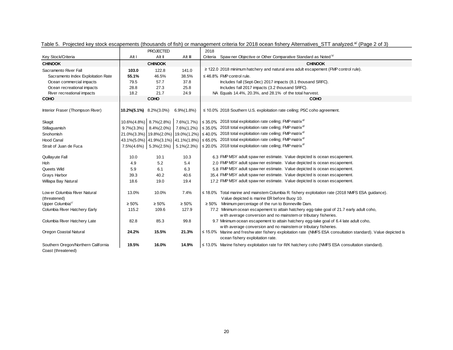|                                               |                          | <b>PROJECTED</b>              |                 | 2018     |                                                                                                                                                       |
|-----------------------------------------------|--------------------------|-------------------------------|-----------------|----------|-------------------------------------------------------------------------------------------------------------------------------------------------------|
| Key Stock/Criteria                            | Alt I                    | Alt II                        | Alt III         | Criteria | Spaw ner Objective or Other Comparative Standard as Noted b                                                                                           |
| <b>CHINOOK</b>                                |                          | <b>CHINOOK</b>                |                 |          | <b>CHINOOK</b>                                                                                                                                        |
| Sacramento River Fall                         | 103.0                    | 122.8                         | 141.0           |          | $\geq$ 122.0 2018 minimum hatchery and natural area adult escapement (FMP control rule).                                                              |
| Sacramento Index Exploitation Rate            | 55.1%                    | 46.5%                         | 38.5%           |          | $\leq$ 46.8% FMP control rule.                                                                                                                        |
| Ocean commercial impacts                      | 79.5                     | 57.7                          | 37.8            |          | Includes fall (Sept-Dec) 2017 impacts (8.1 thousand SRFC).                                                                                            |
| Ocean recreational impacts                    | 28.8                     | 27.3                          | 25.8            |          | Includes fall 2017 impacts (3.2 thousand SRFC).                                                                                                       |
| River recreational impacts                    | 18.2                     | 21.7                          | 24.9            |          | NA Equals 14.4%, 20.3%, and 28.1% of the total harvest.                                                                                               |
| <b>COHO</b>                                   |                          | <b>COHO</b>                   |                 |          | <b>COHO</b>                                                                                                                                           |
| Interior Fraser (Thompson River)              | 10.2% (5.1%) 8.2% (3.0%) |                               | $6.9\% (1.8\%)$ |          | $\leq$ 10.0% 2018 Southern U.S. exploitation rate ceiling; PSC coho agreement.                                                                        |
| Skagit                                        |                          | $10.6\%(4.8\%)$ 8.7\% (2.8\%) |                 |          | 7.6%(1.7%) $\leq$ 35.0% 2018 total exploitation rate ceiling; FMP matrix <sup>d/</sup>                                                                |
| Stillaguamish                                 | $9.7\%$ $(3.3\%)$        | $8.4\%(2.0\%)$                |                 |          | 7.6%(1.2%) $\vert$ ≤ 35.0% 2018 total exploitation rate ceiling; FMP matrix <sup>d/</sup>                                                             |
| Snohomish                                     |                          |                               |                 |          | 21.0%(3.3%)   19.8%(2.0%)   19.0%(1.2%)   $\leq 40.0\%$ 2018 total exploitation rate ceiling; FMP matrix <sup>d/</sup>                                |
| <b>Hood Canal</b>                             |                          |                               |                 |          | 43.1%(5.0%) 41.9%(3.1%) 41.1%(1.8%) $  \leq 65.0\%$ 2018 total exploitation rate ceiling; FMP matrix <sup>d/</sup>                                    |
| Strait of Juan de Fuca                        |                          |                               |                 |          | 7.5%(4.6%)   5.3%(2.5%)   5.1%(2.3%)   ≤ 20.0% 2018 total exploitation rate ceiling; FMP matrix <sup>d/</sup>                                         |
| Quillayute Fall                               | 10.0                     | 10.1                          | 10.3            |          | 6.3 FMP MSY adult spaw ner estimate. Value depicted is ocean escapement.                                                                              |
| Hoh                                           | 4.9                      | 5.2                           | 5.4             |          | 2.0 FMP MSY adult spaw ner estimate. Value depicted is ocean escapement.                                                                              |
| Queets Wild                                   | 5.9                      | 6.1                           | 6.3             |          | 5.8 FMP MSY adult spaw ner estimate. Value depicted is ocean escapement.                                                                              |
| Grays Harbor                                  | 39.3                     | 40.2                          | 40.6            |          | 35.4 FMP MSY adult spaw ner estimate. Value depicted is ocean escapement.                                                                             |
| Willapa Bay Natural                           | 18.6                     | 19.0                          | 19.4            |          | 17.2 FMP MSY adult spaw ner estimate. Value depicted is ocean escapement.                                                                             |
| Low er Columbia River Natural<br>(threatened) | 13.0%                    | 10.0%                         | 7.4%            |          | ≤ 18.0% Total marine and mainstem Columbia R. fishery exploitation rate (2018 NMFS ESA guidance).<br>Value depicted is marine ER before Buoy 10.      |
| Upper Columbia <sup>c/</sup>                  | $\geq 50\%$              | $\geq 50\%$                   | $\geq 50\%$     |          | $\geq$ 50% Minimum percentage of the run to Bonneville Dam.                                                                                           |
| Columbia River Hatchery Early                 | 115.2                    | 109.6                         | 127.9           |          | 77.2 Minimum ocean escapement to attain hatchery egg-take goal of 21.7 early adult coho,                                                              |
|                                               |                          |                               |                 |          | with average conversion and no mainstem or tributary fisheries.                                                                                       |
| Columbia River Hatchery Late                  | 82.8                     | 85.3                          | 99.8            |          | 9.7 Minimum ocean escapement to attain hatchery egg-take goal of 6.4 late adult coho,                                                                 |
|                                               |                          |                               |                 |          | with average conversion and no mainstem or tributary fisheries.                                                                                       |
| Oregon Coastal Natural                        | 24.2%                    | 15.5%                         | 21.3%           |          | $\leq$ 15.0% Marine and freshw ater fishery exploitation rate (NMFS ESA consultation standard). Value depicted is<br>ocean fishery exploitation rate. |
| Southern Oregon/Northern California           | 19.5%                    | 16.0%                         | 14.9%           |          | $\leq$ 13.0% Marine fishery exploitation rate for R/K hatchery coho (NMFS ESA consultation standard).                                                 |
| Coast (threatened)                            |                          |                               |                 |          |                                                                                                                                                       |

Table 5. Projected key stock escapements (thousands of fish) or management criteria for 2018 ocean fishery Alternatives\_STT analyzed.<sup>a/</sup> (Page 2 of 3)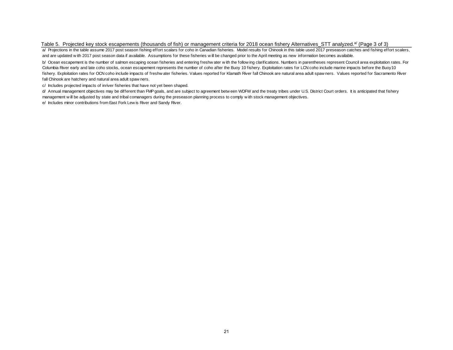#### Table 5. Projected key stock escapements (thousands of fish) or management criteria for 2018 ocean fishery Alternatives\_STT analyzed.<sup>a/</sup> (Page 3 of 3)

a/ Projections in the table assume 2017 post season fishing effort scalars for coho in Canadian fisheries. Model results for Chinook in this table used 2017 preseason catches and fishing effort scalers, and are updated w ith 2017 post season data if available. Assumptions for these fisheries w ill be changed prior to the April meeting as new information becomes available.

b/ Ocean escapement is the number of salmon escaping ocean fisheries and entering freshw ater w ith the follow ing clarifications. Numbers in parentheses represent Council area exploitation rates. For Columbia River early and late coho stocks, ocean escapement represents the number of coho after the Buoy 10 fishery. Exploitation rates for LCN coho include marine impacts before the Buoy10 fishery. Exploitation rates for OCN coho include impacts of freshw ater fisheries. Values reported for Klamath River fall Chinook are natural area adult spaw ners. Values reported for Sacramento River fall Chinook are hatchery and natural area adult spaw ners.

c/ Includes projected impacts of inriver fisheries that have not yet been shaped.

d/ Annual management objectives may be different than FMP goals, and are subject to agreement betw een WDFW and the treaty tribes under U.S. District Court orders. It is anticipated that fishery management w ill be adjusted by state and tribal comanagers during the preseason planning process to comply w ith stock management objectives.

e/ Includes minor contributions from East Fork Lew is River and Sandy River.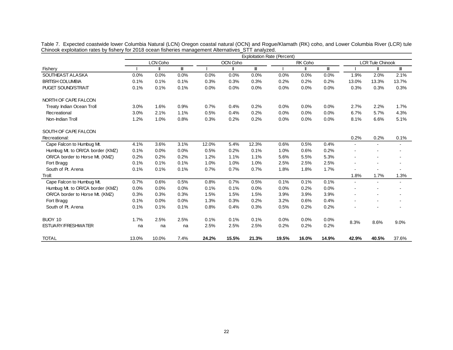|                                  |       | LCN Coho |                                    |       | OCN Coho |       |       | RK Coho |              |                | <b>LCR Tule Chinook</b> |                          |
|----------------------------------|-------|----------|------------------------------------|-------|----------|-------|-------|---------|--------------|----------------|-------------------------|--------------------------|
| Fishery                          |       |          | $\ensuremath{\mathsf{III}}\xspace$ |       |          | Ш     |       |         | $\mathbf{I}$ |                |                         | $\mathbf{I}$             |
| SOUTHEAST ALASKA                 | 0.0%  | 0.0%     | 0.0%                               | 0.0%  | 0.0%     | 0.0%  | 0.0%  | 0.0%    | 0.0%         | 1.9%           | 2.0%                    | 2.1%                     |
| <b>BRITISH COLUMBIA</b>          | 0.1%  | 0.1%     | 0.1%                               | 0.3%  | 0.3%     | 0.3%  | 0.2%  | 0.2%    | 0.2%         | 13.0%          | 13.3%                   | 13.7%                    |
| <b>PUGET SOUND/STRAIT</b>        | 0.1%  | 0.1%     | 0.1%                               | 0.0%  | 0.0%     | 0.0%  | 0.0%  | 0.0%    | 0.0%         | 0.3%           | 0.3%                    | 0.3%                     |
| NORTH OF CAPE FALCON             |       |          |                                    |       |          |       |       |         |              |                |                         |                          |
| Treaty Indian Ocean Troll        | 3.0%  | 1.6%     | 0.9%                               | 0.7%  | 0.4%     | 0.2%  | 0.0%  | 0.0%    | 0.0%         | 2.7%           | 2.2%                    | 1.7%                     |
| Recreational                     | 3.0%  | 2.1%     | 1.1%                               | 0.5%  | 0.4%     | 0.2%  | 0.0%  | 0.0%    | 0.0%         | 6.7%           | 5.7%                    | 4.3%                     |
| Non-Indian Troll                 | 1.2%  | 1.0%     | 0.8%                               | 0.3%  | 0.2%     | 0.2%  | 0.0%  | 0.0%    | 0.0%         | 8.1%           | 6.6%                    | 5.1%                     |
| SOUTH OF CAPE FALCON             |       |          |                                    |       |          |       |       |         |              |                |                         |                          |
| Recreational:                    |       |          |                                    |       |          |       |       |         |              | 0.2%           | 0.2%                    | 0.1%                     |
| Cape Falcon to Humbug Mt.        | 4.1%  | 3.6%     | 3.1%                               | 12.0% | 5.4%     | 12.3% | 0.6%  | 0.5%    | 0.4%         | $\sim$         |                         | $\blacksquare$           |
| Humbug Mt. to OR/CA border (KMZ) | 0.1%  | 0.0%     | 0.0%                               | 0.5%  | 0.2%     | 0.1%  | 1.0%  | 0.6%    | 0.2%         |                |                         | $\overline{\phantom{a}}$ |
| OR/CA border to Horse Mt. (KMZ)  | 0.2%  | 0.2%     | 0.2%                               | 1.2%  | 1.1%     | 1.1%  | 5.6%  | 5.5%    | 5.3%         |                |                         |                          |
| Fort Bragg                       | 0.1%  | 0.1%     | 0.1%                               | 1.0%  | 1.0%     | 1.0%  | 2.5%  | 2.5%    | 2.5%         | $\blacksquare$ |                         |                          |
| South of Pt. Arena               | 0.1%  | 0.1%     | 0.1%                               | 0.7%  | 0.7%     | 0.7%  | 1.8%  | 1.8%    | 1.7%         |                |                         |                          |
| Troll:                           |       |          |                                    |       |          |       |       |         |              | 1.8%           | 1.7%                    | 1.3%                     |
| Cape Falcon to Humbug Mt.        | 0.7%  | 0.6%     | 0.5%                               | 0.8%  | 0.7%     | 0.5%  | 0.1%  | 0.1%    | 0.1%         | $\blacksquare$ | $\sim$                  | $\mathbf{r}$             |
| Humbug Mt. to OR/CA border (KMZ) | 0.0%  | 0.0%     | 0.0%                               | 0.1%  | 0.1%     | 0.0%  | 0.0%  | 0.2%    | 0.0%         |                |                         |                          |
| OR/CA border to Horse Mt. (KMZ)  | 0.3%  | 0.3%     | 0.3%                               | 1.5%  | 1.5%     | 1.5%  | 3.9%  | 3.9%    | 3.9%         |                |                         |                          |
| Fort Bragg                       | 0.1%  | 0.0%     | 0.0%                               | 1.3%  | 0.3%     | 0.2%  | 3.2%  | 0.6%    | 0.4%         |                |                         | $\blacksquare$           |
| South of Pt. Arena               | 0.1%  | 0.1%     | 0.1%                               | 0.8%  | 0.4%     | 0.3%  | 0.5%  | 0.2%    | 0.2%         |                |                         |                          |
| BUOY 10                          | 1.7%  | 2.5%     | 2.5%                               | 0.1%  | 0.1%     | 0.1%  | 0.0%  | 0.0%    | 0.0%         |                |                         |                          |
| <b>ESTUARY/FRESHWATER</b>        | na    | na       | na                                 | 2.5%  | 2.5%     | 2.5%  | 0.2%  | 0.2%    | 0.2%         | 8.3%           | 8.6%                    | 9.0%                     |
| <b>TOTAL</b>                     | 13.0% | 10.0%    | 7.4%                               | 24.2% | 15.5%    | 21.3% | 19.5% | 16.0%   | 14.9%        | 42.9%          | 40.5%                   | 37.6%                    |

Table 7. Expected coastwide lower Columbia Natural (LCN) Oregon coastal natural (OCN) and Rogue/Klamath (RK) coho, and Lower Columbia River (LCR) tule Chinook exploitation rates by fishery for 2018 ocean fisheries management Alternatives\_STT analyzed.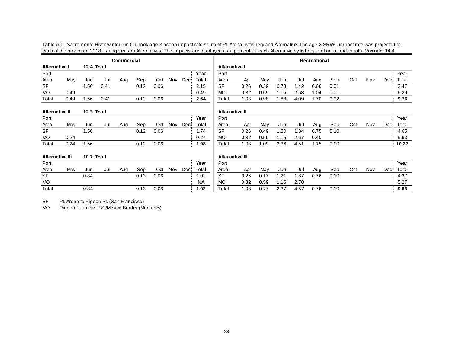|                        |      |            |      | <b>Commercial</b> |      |      |     |      |           | Recreational           |      |      |      |      |      |      |     |     |      |       |
|------------------------|------|------------|------|-------------------|------|------|-----|------|-----------|------------------------|------|------|------|------|------|------|-----|-----|------|-------|
| <b>Alternative I</b>   |      | 12.4 Total |      |                   |      |      |     |      |           | <b>Alternative I</b>   |      |      |      |      |      |      |     |     |      |       |
| Port                   |      |            |      |                   |      |      |     |      | Year      | Port                   |      |      |      |      |      |      |     |     |      | Year  |
| Area                   | May  | Jun        | Jul  | Aug               | Sep  | Oct  | Nov | Dec: | Total     | Area                   | Apr  | May  | Jun  | Jul  | Aug  | Sep  | Oct | Nov | Deci | Total |
| <b>SF</b>              |      | 1.56       | 0.41 |                   | 0.12 | 0.06 |     |      | 2.15      | <b>SF</b>              | 0.26 | 0.39 | 0.73 | 1.42 | 0.66 | 0.01 |     |     |      | 3.47  |
| <b>MO</b>              | 0.49 |            |      |                   |      |      |     |      | 0.49      | <b>MO</b>              | 0.82 | 0.59 | 1.15 | 2.68 | 1.04 | 0.01 |     |     |      | 6.29  |
| Total                  | 0.49 | .56        | 0.41 |                   | 0.12 | 0.06 |     |      | 2.64      | Total                  | 1.08 | 0.98 | 1.88 | 4.09 | 1.70 | 0.02 |     |     |      | 9.76  |
| <b>Alternative II</b>  |      | 12.3 Total |      |                   |      |      |     |      |           | <b>Alternative II</b>  |      |      |      |      |      |      |     |     |      |       |
| Port                   |      |            |      |                   |      |      |     |      | Year      | Port                   |      |      |      |      |      |      |     |     |      | Year  |
| Area                   | May  | Jun        | Jul  | Aug               | Sep  | Oct  | Nov | Dec: | Total     | Area                   | Apr  | May  | Jun  | Jul  | Aug  | Sep  | Oct | Nov | Deci | Total |
| <b>SF</b>              |      | 1.56       |      |                   | 0.12 | 0.06 |     |      | 1.74      | <b>SF</b>              | 0.26 | 0.49 | 1.20 | .84  | 0.75 | 0.10 |     |     |      | 4.65  |
| <b>MO</b>              | 0.24 |            |      |                   |      |      |     |      | 0.24      | <b>MO</b>              | 0.82 | 0.59 | 1.15 | 2.67 | 0.40 |      |     |     |      | 5.63  |
| Total                  | 0.24 | 1.56       |      |                   | 0.12 | 0.06 |     |      | 1.98      | Total                  | 1.08 | .09  | 2.36 | 4.51 | 1.15 | 0.10 |     |     |      | 10.27 |
| <b>Alternative III</b> |      | 10.7 Total |      |                   |      |      |     |      |           | <b>Alternative III</b> |      |      |      |      |      |      |     |     |      |       |
| Port                   |      |            |      |                   |      |      |     |      | Year      | Port                   |      |      |      |      |      |      |     |     |      | Year  |
| Area                   | May  | Jun        | Jul  | Aug               | Sep  | Oct  | Nov | Dec: | Total     | Area                   | Apr  | May  | Jun  | Jul  | Aug  | Sep  | Oct | Nov | Deci | Total |
| <b>SF</b>              |      | 0.84       |      |                   | 0.13 | 0.06 |     |      | 1.02      | <b>SF</b>              | 0.26 | 0.17 | 1.21 | .87  | 0.76 | 0.10 |     |     |      | 4.37  |
| <b>MO</b>              |      |            |      |                   |      |      |     |      | <b>NA</b> | <b>MO</b>              | 0.82 | 0.59 | 1.16 | 2.70 |      |      |     |     |      | 5.27  |
| Total                  |      | 0.84       |      |                   | 0.13 | 0.06 |     |      | 1.02      | Total                  | 1.08 | 0.77 | 2.37 | 4.57 | 0.76 | 0.10 |     |     |      | 9.65  |

Table A-1. Sacramento River winter run Chinook age-3 ocean impact rate south of Pt. Arena by fishery and Alternative. The age-3 SRWC impact rate was projected for each of the proposed 2018 fishing season Alternatives. The impacts are displayed as a percent for each Alternative by fishery, port area, and month. Max rate: 14.4.

SF Pt. Arena to Pigeon Pt. (San Francisco)

MO Pigeon Pt. to the U.S./Mexico Border (Monterey)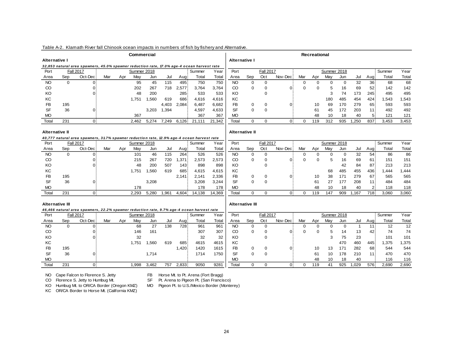|                 |          |                                                                                            |     |     | <b>Commercial</b> |       |       |       |        |        |                        |             |                  |          |             | Recreational |             |             |                |                 |        |       |
|-----------------|----------|--------------------------------------------------------------------------------------------|-----|-----|-------------------|-------|-------|-------|--------|--------|------------------------|-------------|------------------|----------|-------------|--------------|-------------|-------------|----------------|-----------------|--------|-------|
| Alternative I   |          |                                                                                            |     |     |                   |       |       |       |        |        | <b>Alternative I</b>   |             |                  |          |             |              |             |             |                |                 |        |       |
|                 |          | 32,853 natural area spawners, 45.0% spawner reduction rate, 17.0% age-4 ocean harvest rate |     |     |                   |       |       |       |        |        |                        |             |                  |          |             |              |             |             |                |                 |        |       |
| Port            |          | <b>Fall 2017</b>                                                                           |     |     | Summer 2018       |       |       |       | Summer | Year   | Port                   |             | <b>Fall 2017</b> |          |             |              | Summer 2018 |             |                |                 | Summer | Year  |
| Area            | Sep      | Oct-Dec                                                                                    | Mar | Apr | Mav               | Jun   | Jul   | Aug   | Total  | Total  | Area                   | Sep         | Oct              | Nov-Dec  | Mar         | Apr          | May         | Jun         | Jul            | Aug             | Total  | Total |
| <b>NO</b>       | $\Omega$ | $\mathbf{0}$                                                                               |     |     | 95                | 45    | 115   | 495   | 750    | 750    | <b>NO</b>              | $\mathbf 0$ | $\mathbf 0$      |          | $\mathbf 0$ | $\Omega$     | $\mathbf 0$ | $\mathbf 0$ | 32             | 36 <sup>3</sup> | 68     | 68    |
| $\rm CO$        |          | $\Omega$                                                                                   |     |     | 202               | 267   | 718   | 2,577 | 3,764  | 3,764  | CO                     | $\Omega$    | $\mathbf 0$      | $\Omega$ | $\Omega$    | $\Omega$     | 5           | 16          | 69             | 52              | 142    | 142   |
| KO              |          |                                                                                            |     |     | 48                | 200   |       | 285   | 533    | 533    | KO                     |             | $\mathbf 0$      |          |             |              | 3           | 74          | 173            | 245             | 495    | 495   |
| KC              |          |                                                                                            |     |     | 1.751             | 1.560 | 619   | 686   | 4.616  | 4.616  | KC                     |             |                  |          |             |              | 180         | 485         | 454            | 424             | 1.543  | 1,543 |
| <b>FB</b>       | 195      |                                                                                            |     |     |                   |       | 4.403 | 2.084 | 6.487  | 6.682  | FB                     | 0           | $\mathbf 0$      | $\Omega$ |             | 10           | 69          | 170         | 279            | 65              | 593    | 593   |
| <b>SF</b>       | 36       | $\Omega$                                                                                   |     |     |                   | 3,203 | 1,394 |       | 4,597  | 4,633  | SF                     | $\Omega$    | $\Omega$         |          |             | 61           | 45          | 172         | 203            | 11              | 492    | 492   |
| <b>MO</b>       |          |                                                                                            |     |     | 367               |       |       |       | 367    | 367    | <b>MO</b>              |             |                  |          |             | 48           | 10          | 18          | 40             | 5:              | 121    | 121   |
| Total           | 231      | ٥ł                                                                                         |     |     | 2,462             | 5,274 | 7,249 | 6,126 | 21,111 | 21,342 | Total                  | $\Omega$    | $\Omega$         | $\Omega$ | $\mathbf 0$ | 119          | 312         | 935         | 1,250          | 837             | 3,453  | 3,453 |
|                 |          |                                                                                            |     |     |                   |       |       |       |        |        |                        |             |                  |          |             |              |             |             |                |                 |        |       |
| Alternative II  |          |                                                                                            |     |     |                   |       |       |       |        |        | <b>Alternative II</b>  |             |                  |          |             |              |             |             |                |                 |        |       |
|                 |          | 40,777 natural area spawners, 31.7% spawner reduction rate, 12.9% age-4 ocean harvest rate |     |     |                   |       |       |       |        |        |                        |             |                  |          |             |              |             |             |                |                 |        |       |
| Port            |          | <b>Fall 2017</b>                                                                           |     |     | Summer 2018       |       |       |       | Summer | Year   | Port                   |             | <b>Fall 2017</b> |          |             |              | Summer 2018 |             |                |                 | Summer | Year  |
| Area            | Sep      | Oct-Dec                                                                                    | Mar | Apr | May               | Jun   | Jul   | Aug   | Total  | Total  | Area                   | Sep         | Oct              | Nov-Dec  | Mar         | Apr          | May         | Jun         | Jul            | Aug             | Total  | Total |
| <b>NO</b>       | $\Omega$ | 0                                                                                          |     |     | 101               | 46    | 115   | 264   | 526    | 526    | <b>NO</b>              | $\mathbf 0$ | $\mathbf 0$      |          | $\mathbf 0$ | $\Omega$     | $\mathbf 0$ | $\mathbf 0$ | 32             | 54              | 86     | 86    |
| $\rm CO$        |          | 0                                                                                          |     |     | 215               | 267   | 720   | 1,371 | 2,573  | 2,573  | $\rm CO$               | $\mathbf 0$ | $\mathbf 0$      | $\Omega$ | $\Omega$    | $\Omega$     | 5           | 16          | 69             | 61              | 151    | 151   |
| KO              |          | $\Omega$                                                                                   |     |     | 48                | 200   | 507   | 143:  | 898    | 898    | KO                     |             | $\mathbf 0$      |          |             |              |             | 42          | 84             | 87              | 213    | 213   |
| KC              |          |                                                                                            |     |     | 1.751             | 1,560 | 619   | 685   | 4,615  | 4,615  | КC                     |             |                  |          |             |              | 68          | 485         | 455            | 436             | 1.444  | 1,444 |
| <b>FB</b>       | 195      |                                                                                            |     |     |                   |       |       | 2,141 | 2,141  | 2,336  | FB                     | 0           | 0                | $\Omega$ |             | 10           | 38          | 171         | 279            | 67              | 565    | 565   |
| <b>SF</b>       | 36       | $\Omega$                                                                                   |     |     |                   | 3,208 |       |       | 3.208  | 3.244  | <b>SF</b>              | $\Omega$    | $\Omega$         |          |             | 61           | 27          | 177         | 208            | 11              | 484    | 484   |
| <b>MO</b>       |          |                                                                                            |     |     | 178               |       |       |       | 178    | 178    | <b>MO</b>              |             |                  |          |             | 48           | 10          | 18          | 40             | 2:              | 118    | 118   |
| Total           | 231      | ٥l                                                                                         |     |     | 2,293             | 5,280 | 1,961 | 4,604 | 14,138 | 14,369 | Total                  | $\Omega$    | $\mathbf 0$      | 0)       | $\mathbf 0$ | 119          | 147         | 909         | 1,167          | 718             | 3,060  | 3,060 |
|                 |          |                                                                                            |     |     |                   |       |       |       |        |        |                        |             |                  |          |             |              |             |             |                |                 |        |       |
| Alternative III |          |                                                                                            |     |     |                   |       |       |       |        |        | <b>Alternative III</b> |             |                  |          |             |              |             |             |                |                 |        |       |
|                 |          | 46,466 natural area spawners, 22.2% spawner reduction rate, 9.7% age-4 ocean harvest rate  |     |     |                   |       |       |       |        |        |                        |             |                  |          |             |              |             |             |                |                 |        |       |
| Port            |          | <b>Fall 2017</b>                                                                           |     |     | Summer 2018       |       |       |       | Summer | Year   | Port                   |             | <b>Fall 2017</b> |          |             |              | Summer 2018 |             |                |                 | Summer | Year  |
| Area            | Sep      | Oct-Dec                                                                                    | Mar | Apr | May               | Jun   | Jul   | Aug   | Total  | Total  | Area                   | Sep         | Oct              | Nov-Dec  | Mar         | Apr          | May         | Jun         | Jul            | Aug             | Total  | Total |
| <b>NO</b>       | $\Omega$ | $\overline{0}$                                                                             |     |     | 68                | 27    | 138   | 728   | 961    | 961    | <b>NO</b>              | $\mathbf 0$ | $\mathbf 0$      |          | $\mathbf 0$ | $\Omega$     | $\mathbf 0$ | $\mathbf 0$ | $\overline{1}$ | 11:             | 12     | 12    |
| $\rm CO$        |          | $\overline{0}$                                                                             |     |     | 146               | 161   |       |       | 307    | 307    | CO                     | $\mathbf 0$ | $\mathbf 0$      | $\Omega$ | $\Omega$    | $\Omega$     | 5           | 14          | 13             | 42              | 74     | 74    |
| KO              |          | $\Omega$                                                                                   |     |     | 32                |       |       |       | 32     | 32     | KO                     |             | $\mathbf 0$      |          |             |              | 3           | 75          | 23             |                 | 101    | 101   |
| <b>KC</b>       |          |                                                                                            |     |     | 1.751             | 1,560 | 619   | 685   | 4615   | 4615   | KC                     |             |                  |          |             |              |             | 470         | 460            | 445             | 1.375  | 1,375 |
| <b>FB</b>       | 195      |                                                                                            |     |     |                   |       |       | 1,420 | 1420   | 1615   | FB.                    | 0           | 0                | 0        |             | 10           | 13          | 171         | 282            | 68              | 544    | 544   |
| <b>SF</b>       | 36       | $\Omega$                                                                                   |     |     |                   | 1,714 |       |       | 1714   | 1750   | <b>SF</b>              | $\Omega$    | $\Omega$         |          |             | 61           | 10          | 178         | 210            | 11              | 470    | 470   |
| MО              |          |                                                                                            |     |     |                   |       |       |       |        |        | <b>MO</b>              |             |                  |          |             | 48           | 10          | 18          | 40             |                 | 116    | 116   |
| Total           | 231      | Οł                                                                                         |     |     | 1.998             | 3,462 | 757   | 2,833 | 9050   | 9281   | Total                  | $\Omega$    | $\mathbf 0$      | $\Omega$ | 0           | 119          | 41          | 925         | 1.029          | 576             | 2.690  | 2,690 |
|                 |          |                                                                                            |     |     |                   |       |       |       |        |        |                        |             |                  |          |             |              |             |             |                |                 |        |       |

# Table A-2. Klamath River fall Chinook ocean impacts in numbers of fish by fishery and Alternative.

NO Cape Falcon to Florence S. Jetty FB Horse Mt. to Pt. Arena (Fort Bragg)<br>CO Florence S. Jetty to Humbug Mt. SF Pt. Arena to Pigeon Pt. (San Francis

CO Florence S. Jetty to Humbug Mt. SF Pt. Arena to Pigeon Pt. (San Francisco)<br>KO Humbug Mt. to OR/CA Border (Oregon KMZ) MO Pigeon Pt. to U.S./Mexico Border (Monte

MO Pigeon Pt. to U.S./Mexico Border (Monterey)